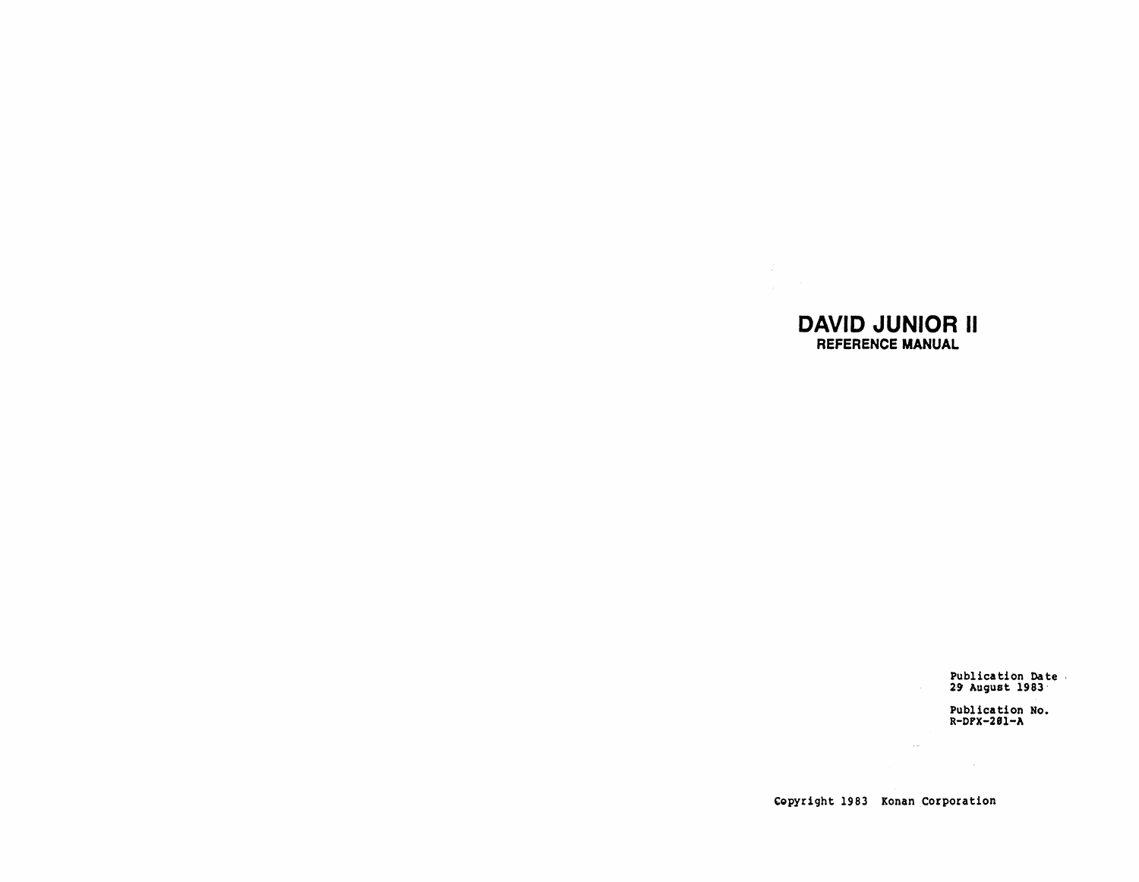## **DAVID JUNIOR II** REFERENCE MANUAL

 $\sim 200$ 

Publication Date<br>29 August 1983

Publication No.<br>R-DFX-201-A

Copyright 1983 Konan Corporation

 $\mathcal{L}^{\text{max}}_{\text{max}}$  and  $\mathcal{L}^{\text{max}}_{\text{max}}$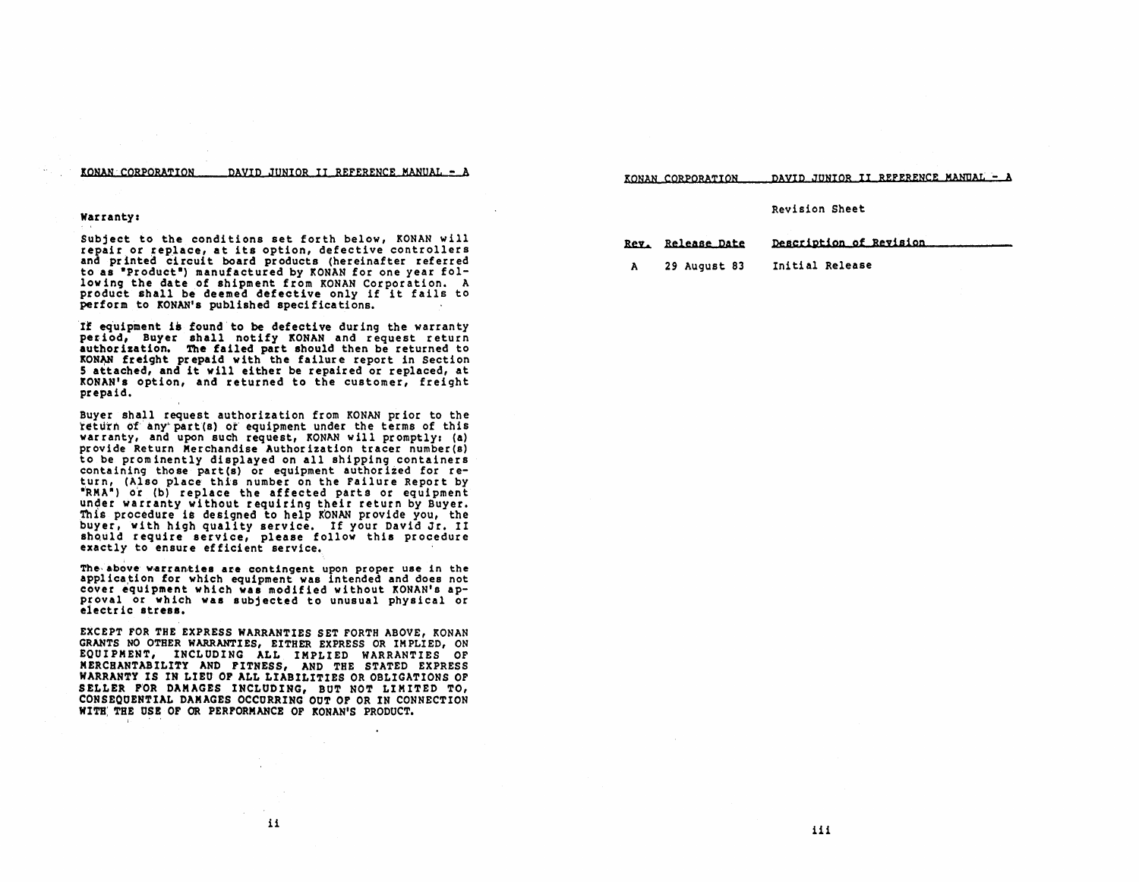#### KONAN CORPORATION DAVID JUNIOR II REFERENCE MANUAL - A

KONAN CORPORATION DAVID JUNIOR II REFERENCE MANIJAt- A

#### Revision Sheet

Rev. Release Date Description of Revision A 29 August 83 Initial Release

#### warranty:

i "

Subjeet to the eonditions set forth below, KONAN will repair or replaee, at its option, defeetive eontrollers and printed circuit board products (hereinafter referred to as "Product") manufactured by KONAN for one year following the date of shipment from KONAN Corporation. A produet shall be deemed defeetive only if it fails to perform to KONAN's published specifications.

Il eq'uipment i& found' to be defective dur ing the warranty period, Buyer shall notify KONAN and request return authorization. The failed part should then be returned to KONAN freight prepaid with the failure report in Section 5 attaehed, and it will either be repaired or replaced, at KONAN's option, and returned to the customer, freight prepaid.

Buyer shall request authorization from KONAN prior to the return of any part(s) or equipment under the terms of this warranty, and upon such request, KONAN will promptly: (a) provide Return Merchandise Author ization tracer number (s) to be prominently displayed on all shipping containers containing those part(s) or equipment authorized for return, (Also place this number on the Failure Report by "RMA") or (b) replace the affected parts or equipment under warranty without requiring their return by Buyer.<br>This procedure is designed to help KONAN provide you, the buyer, with high quality serviee. If your David Jr. II should require service, please follow this procedure exactly to ensure efficient service.

The above warranties are contingent upon proper use in the application for which equipment was intended and does not cover equipment which was modified without KONAN's ap-<br>proval or which was subjected to unusual physical or<br>electric stress.

EXCEPT FOR THE EXPRESS WARRANTIES SET FORTH ABOVE, KONAN GRANTS NO OTHER WARRANTIES, EITHER EXPRESS OR IMPLIED, ON EQUIPMENT, INCLUDING ALL IMPLIED WARRANTIES OF MERCHANTABILITY AND FITNESS, AND THE STATED EXPRESS WARRANTY IS IN LIEU OF ALL LIABILITIES OR OBLIGATIONS OF SELLER rOR DAMAGES INCLUDING, BUT NOT LIMITED TO, CONSEQOENTIAL DAMAGES OCCURRING OUT OF OR IN CONNECTION WITH THE USE OF OR PERFORMANCE OF KONAN'S PRODUCT.

iii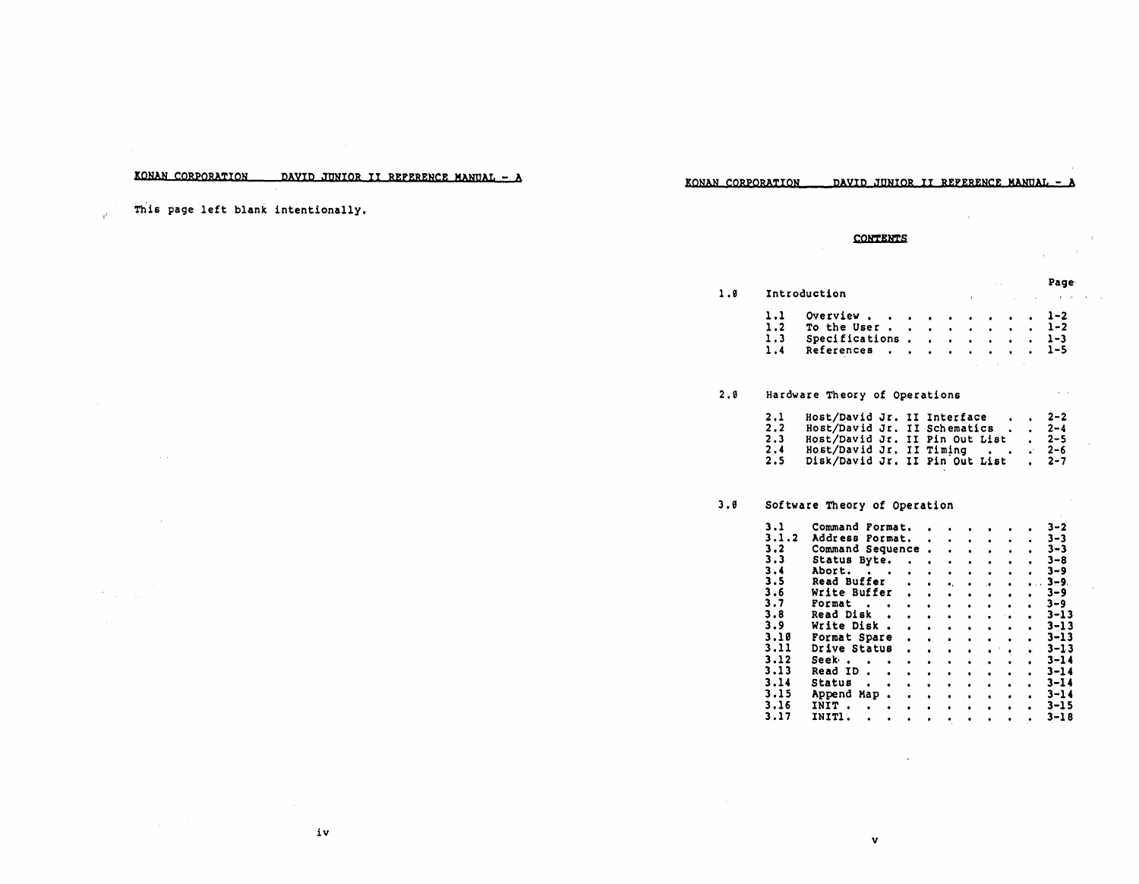### KONAN CORPORATION **pAYID JUNIOR II REFERENCE MANUAL - A**

iv

KONAN CORPORATION DAVID JUNIOR II REFERENCE MANUAL - A

This page left blank intentionally.

°ú.

CONTENTS

### Page  $\alpha$  and

1.0 Introduction

| 1.1 Overview 1-2                                |  |  |  |  |
|-------------------------------------------------|--|--|--|--|
| 1.2 To the User 1-2                             |  |  |  |  |
| 1.3 Specifications. 1-3<br>1.4 References $1-5$ |  |  |  |  |
|                                                 |  |  |  |  |

#### 2.0 Hardware Theory of Operations

| 2.1<br>2.2<br>2.3<br>2.4 | Host/David Jr. II Interface<br>Host/David Jr. II Timing |  | Host/David Jr. II Schematics<br>Host/David Jr. II Pin Out List | $2 - 2$<br>$2 - 4$<br>$2 - 5$<br>$2 - 6$ |
|--------------------------|---------------------------------------------------------|--|----------------------------------------------------------------|------------------------------------------|
| 2.5                      |                                                         |  | Disk/David Jr. II Pin Out List                                 | $2 - 7$                                  |

#### 3.0 Software Theory of Operation

| 3.1   | Command Format.  |  |           |  |  | $3 - 2$   |
|-------|------------------|--|-----------|--|--|-----------|
| 3.1.2 | Address Format.  |  | $\bullet$ |  |  | 3–3       |
| 3.2   | Command Sequence |  |           |  |  | $3 - 3$   |
| 3.3   | Status Byte.     |  |           |  |  | 3–8       |
| 3.4   | Abort.           |  |           |  |  | $3 - 9$   |
| 3.5   | Read Buffer      |  |           |  |  | $3 - 9$ . |
| 3.6   | Write Buffer     |  |           |  |  | 3–9       |
| 3.7   | Format           |  |           |  |  | $3 - 9$   |
| 3.8   | <b>Read Disk</b> |  |           |  |  | 3-13      |
| 3.9   | Write Disk       |  |           |  |  | $3 - 13$  |
| 3.10  | Format Spare     |  |           |  |  | 3-13      |
| 3.11  | Drive Status     |  |           |  |  | 3-13      |
| 3.12  | Seek -           |  |           |  |  | $3 - 14$  |
| 3.13  | <b>Read ID</b>   |  |           |  |  | $3 - 14$  |
| 3.14  | Status           |  |           |  |  | 3-14      |
| 3.15  | Append<br>Map    |  |           |  |  | 3-14      |
| 3.16  | INIT             |  |           |  |  | 3-15      |
| 3.17  | INIT1.           |  |           |  |  | 3-18      |
|       |                  |  |           |  |  |           |

v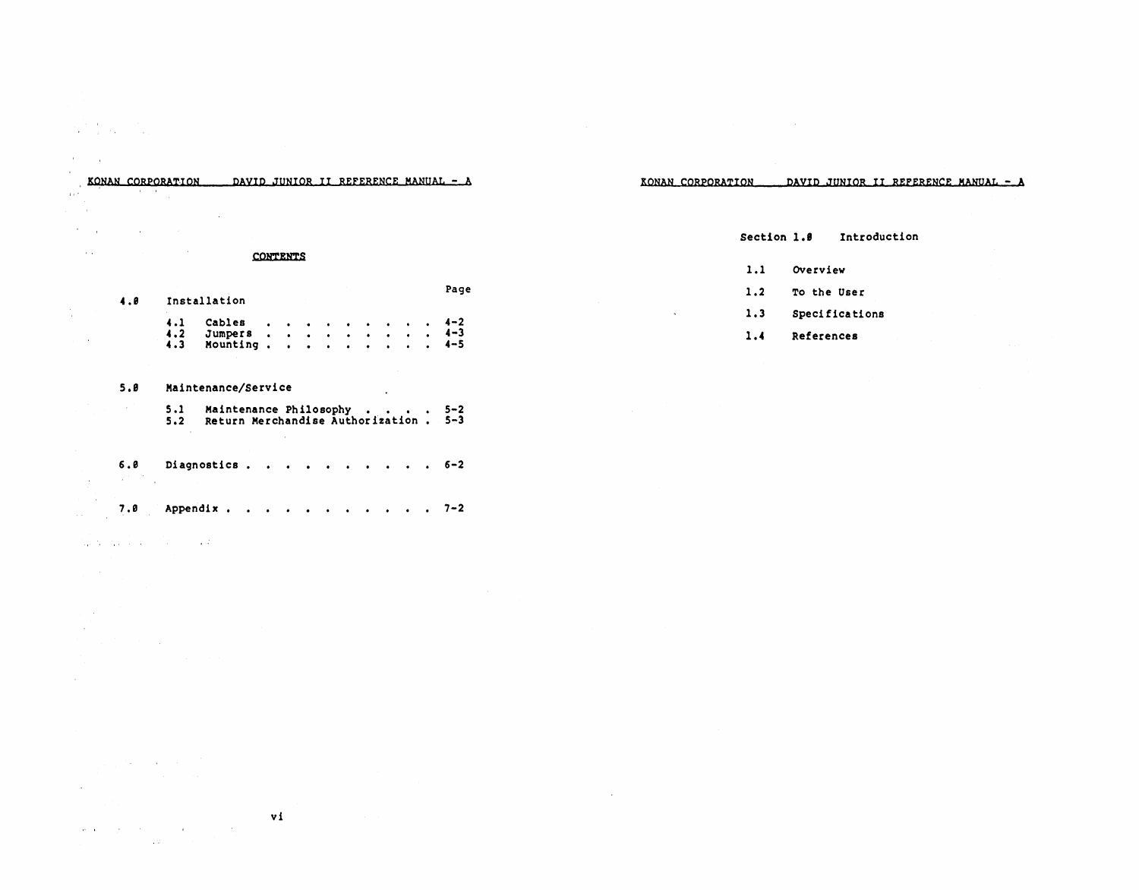# $\label{eq:2} \mathcal{L} = \frac{1}{2} \sum_{i=1}^n \frac{1}{2} \sum_{i=1}^n \frac{1}{2} \sum_{i=1}^n \frac{1}{2} \sum_{i=1}^n \frac{1}{2} \sum_{i=1}^n \frac{1}{2} \sum_{i=1}^n \frac{1}{2} \sum_{i=1}^n \frac{1}{2} \sum_{i=1}^n \frac{1}{2} \sum_{i=1}^n \frac{1}{2} \sum_{i=1}^n \frac{1}{2} \sum_{i=1}^n \frac{1}{2} \sum_{i=1}^n \frac{1}{2} \sum_{i=1}$

the company of the company of the  $\label{eq:3.1} \frac{1}{\sqrt{2}}\sum_{i=1}^n\frac{1}{\sqrt{2}}\left(\frac{1}{\sqrt{2}}\sum_{i=1}^n\frac{1}{\sqrt{2}}\sum_{i=1}^n\frac{1}{\sqrt{2}}\sum_{i=1}^n\frac{1}{\sqrt{2}}\sum_{i=1}^n\frac{1}{\sqrt{2}}\sum_{i=1}^n\frac{1}{\sqrt{2}}\sum_{i=1}^n\frac{1}{\sqrt{2}}\sum_{i=1}^n\frac{1}{\sqrt{2}}\sum_{i=1}^n\frac{1}{\sqrt{2}}\sum_{i=1}^n\frac{1}{\sqrt{2$ 

 $\mathcal{L}$  $\sim 10^{-1}$ 

 $\mathbb{R}^2$  $\alpha$  ,  $\alpha$  ,  $\beta$  $\mathcal{L}^{\text{max}}$  and  $\mathcal{L}^{\text{max}}$ 

÷.

 $\sim 10^7$ 

# KONAN CORPORATION DAVID JUNIOR II REFERENCE MANUAL - A

KONAN CORPORATION DAVID JUNIOR II REFERENCE MANUAL - A

### **CONTENTS**

#### Page

| 4.1 Cables 4-2   |  |  |  |  |  |
|------------------|--|--|--|--|--|
| 4.2 Jumpers 4-3  |  |  |  |  |  |
| 4.3 Mounting 4-5 |  |  |  |  |  |

### 5.8 Maintenance/Service

 $\mathbf{r}$ 

4.8 Installation

| 5.1<br>5.2 | Maintenance Philosophy 5-2<br>Return Merchandise Authorization . 5-3 |  |
|------------|----------------------------------------------------------------------|--|

### 6.0 Diagnostics . . . . . . . . . . 6-2  $\Delta \sim 10$

7.0 Appendix . . . . . . . . . . . 7-2

#### the companies of the companies of

 $\sim 10^{11}$  and  $\sim 10^{11}$ 

 $\sim 10$ 

 $\mathcal{L}^{\text{max}}$ 

 $\label{eq:2.1} \mathcal{L}=\mathcal{L}(\mathcal{L}^{\text{max}}_{\mathcal{L}^{\text{max}}_{\mathcal{L}^{\text{max}}_{\mathcal{L}^{\text{max}}_{\mathcal{L}^{\text{max}}_{\mathcal{L}^{\text{max}}_{\mathcal{L}^{\text{max}}_{\mathcal{L}^{\text{max}}_{\mathcal{L}^{\text{max}}_{\mathcal{L}^{\text{max}}_{\mathcal{L}^{\text{max}}_{\mathcal{L}^{\text{max}}_{\mathcal{L}^{\text{max}}_{\mathcal{L}^{\text{max}}_{\mathcal{L}^{\text{max}}_{\mathcal{$  $\mathcal{L}^{\mathcal{L}}$ 

vi  $\mathbf{u}^{\prime}$  and  $\mathbf{u}^{\prime}$  are  $\mathbf{u}^{\prime}$  . The contribution of the contribution of  $\mathbf{u}^{\prime}$ 

### Section 1.8 Introduction

- 1.1 OVerview
- 1.2 To the User
- 1.3 Speci fica tions
- 1.4 References

 $\mathbf{r}$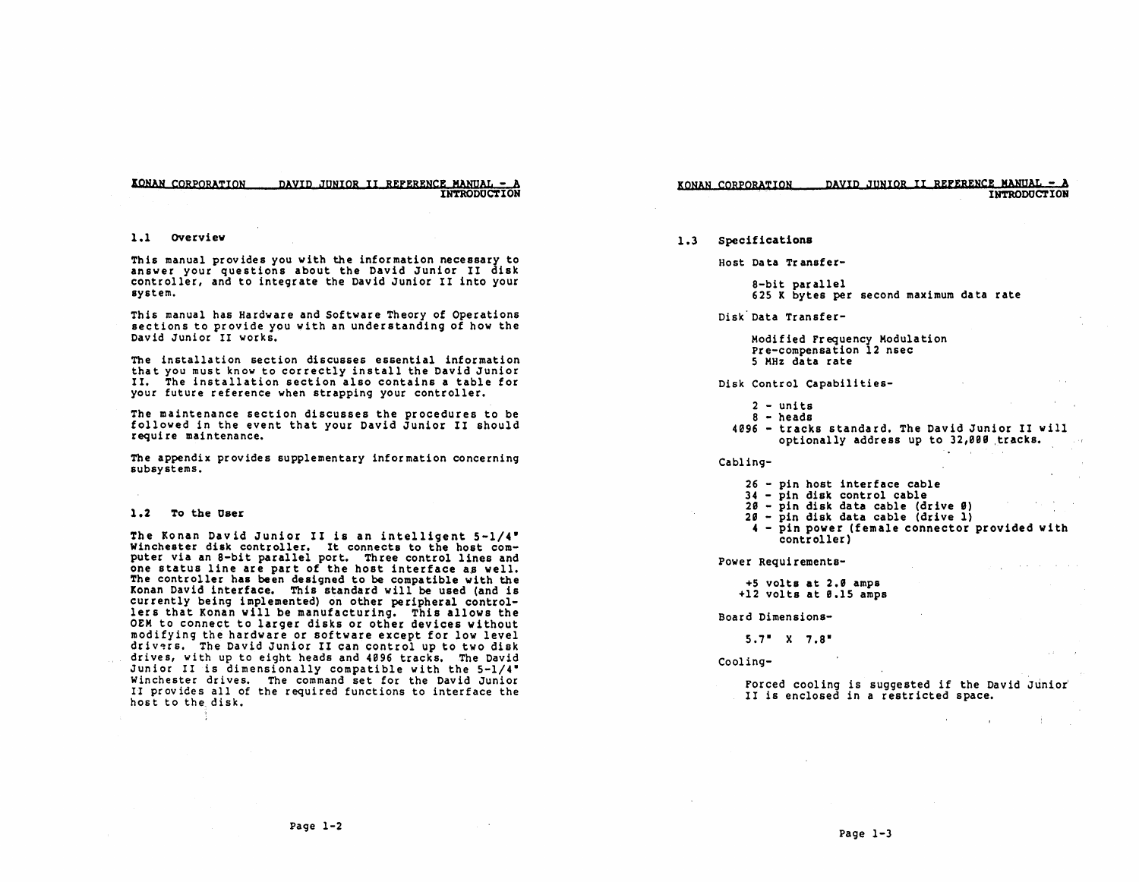KONAN CORPORATION DAVID JUNIOR II REFERENCE MANUAL -INTRODUCTION

#### KONAN CORPQRA~ION PAVlP JUNIOR II REFERENCE MaNQaL - <sup>A</sup> INTRODUCTION

### 1.1 OVerview

Thi5 manual provides you with the information necessary to answer your questions about the David Junior II disk controller, and to integrate the David Junior II into your sY5tem.

This manual has Hardware and Software Theory of Operations sections to provide you with an understanding of how the David Junior II works.

The installation section discusses essential information that you must know to correctly install the David Junior II. The installation section also contains a table for your future reference when strapping your controller.

The maintenance section discusses the procedures to be followed in the event that your David Junior II should require maintenance.

The appendix provides supplementary information concerning subsystems.

#### 1.2 To the User

- 3.

The Konan David Junior II is an intelligent 5-1/4- Winchester disk controller. It connects to the host com-<br>puter via an 8-bit parallel port. Three control lines and<br>one status line are part of the host interface as well. The controller has been designed to be compatible with the Konan David interface. This standard will be used (and is currently being implemented) on other peripheral controllers that Konan will be manufacturing. This allows the OEM to connect to larger disks or other devices without modifying the hardware or software except for low level drivers. The David Junior II can control up to two disk drives, with up to eight heads and 4096 tracks. The David Junior II is dimensionally compatible with the 5-1/4- Winchester drives. The command set for the David Junior II provides all of the required functions to interface the host to the. disk.

1.3 Specifications

Host Data Transfer-

8-bit parallel<br>625 K bytes per second maximum data rate

Disk Data Transfer-

Modified Frequency Modulation pre-compensation 12 nsec 5 MHz data rate

Disk Control Capabilitie5-

- $2 -$  units<br> $8 -$  heads
- 4096 tracks standard. The David Junior II will optionally address up to 32,000 tracks.

Cabling-

- 26 pin host interface cable
- 34 pin disk control cable
- 20 pin disk data cable (drive 0)
- 20 pin disk data cable (drive 1)
- 4 pin power (female connector provided with controller)

فالقارب القارف فالمراري الوارد

计可变 医血管下的 化二氯化二氯

**Sales Control** 

Power Requirements-

+5 volts at 2.0 amps

+12 volts at 0.15 amps

Board Dimensions-

 $5.7''$  X  $7.8''$ 

Cooling-

Forced cooling is suggested if the David Junior II is enclosed in a restricted space.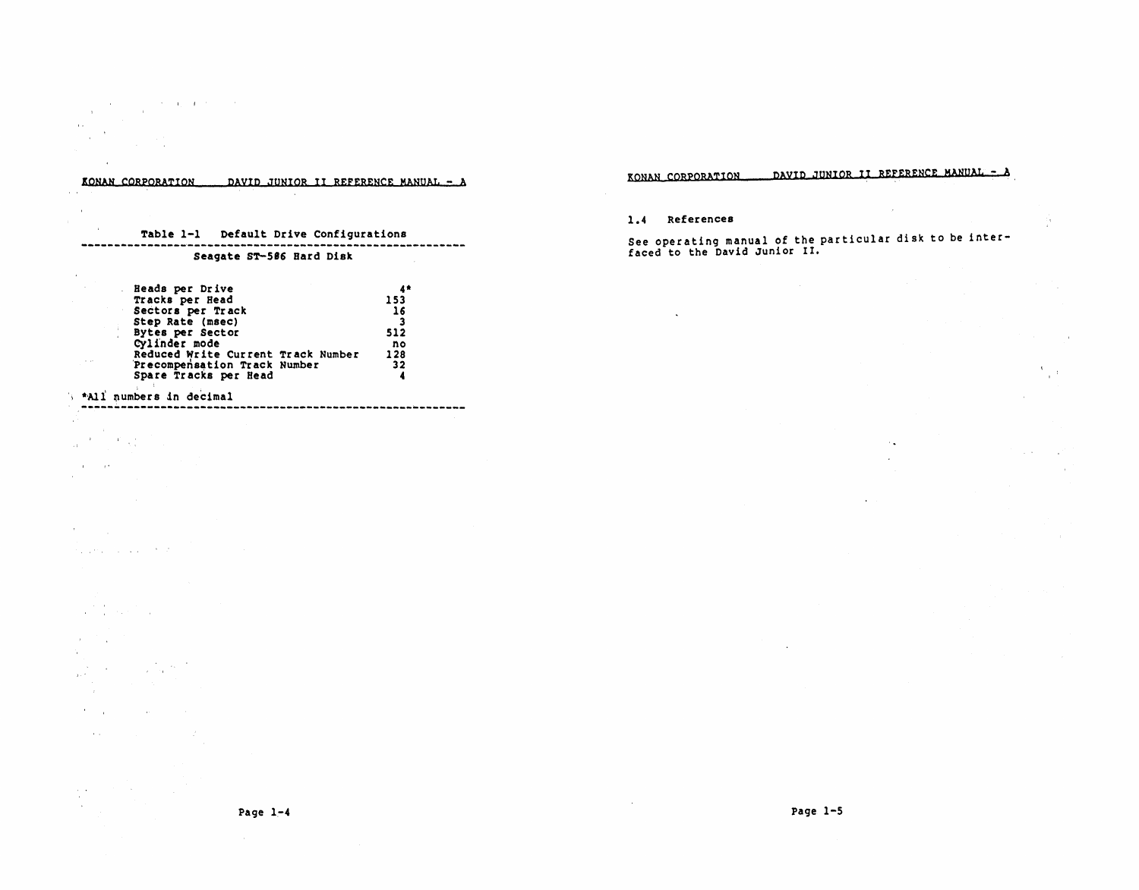#### KONAN CQRPORATION DAYID JUNIOR II REFERENCE MANUAL - A

# Table 1-1 Default Drive Configurations

### Seagate ST-586 Bard Disk

| Beads per Drive                    |     |
|------------------------------------|-----|
| Tracks per Head                    | 153 |
| Sectors per Track                  | 16  |
| Step Rate (msec)                   |     |
| Bytes per Sector                   | 512 |
| Cylinder mode                      | no  |
| Reduced Write Current Track Number | 128 |
| Precompensation Track Number       | 32  |
| Spare Tracks per Head              |     |

## '\ \*'All ~umbers in decimal

state and property and state

 $\sim$  $\alpha$  .  $\ddot{\phantom{0}}$ 

 $\alpha$ 

 $\gamma$  and

 $\frac{1}{\sqrt{2}}\left(\frac{1}{\sqrt{2}}\right)^{2}=\frac{1}{2}\left(\frac{1}{\sqrt{2}}\right)^{2}$ 

 $\sim 10^{-1}$  ,  $\sim 10^{-1}$ 

 $\mathcal{F}^{\text{max}}_{\text{max}}$  ,  $\mathcal{F}^{\text{max}}_{\text{max}}$ 

 $\frac{1}{\sqrt{2}}\frac{1}{\sqrt{2}}\left(\frac{1}{\sqrt{2}}\right)^2\left(\frac{1}{2}\right)^2$  $\sim$  $\mathcal{F}^{\mathcal{A}}_{\mathcal{A}}$  and  $\mathcal{F}^{\mathcal{A}}_{\mathcal{A}}$ 

 $\sim 10^{-1}$ 

 $\frac{1}{2}$  .  $\sim$ 

supervisor and state

 $\label{eq:2} \frac{1}{\sqrt{2}}\left(\frac{1}{\sqrt{2}}\right)^{2} \left(\frac{1}{\sqrt{2}}\right)^{2} \left(\frac{1}{\sqrt{2}}\right)^{2} \left(\frac{1}{\sqrt{2}}\right)^{2} \left(\frac{1}{\sqrt{2}}\right)^{2} \left(\frac{1}{\sqrt{2}}\right)^{2} \left(\frac{1}{\sqrt{2}}\right)^{2} \left(\frac{1}{\sqrt{2}}\right)^{2} \left(\frac{1}{\sqrt{2}}\right)^{2} \left(\frac{1}{\sqrt{2}}\right)^{2} \left(\frac{1}{\sqrt{2}}\right)^{2} \left(\frac{$ 

 $\mathcal{L}_{\rm{max}}$  , and

 $\sim$   $\mu$  .

 $\sim$   $\lambda$ 

 $\sim$ 

KONAN CORPORATION DIWID JUNIOR II REFERENCE MANUM· - A

 $\mathcal{L}$ 

 $\sim$   $\sim$ 

 $\overline{a}$ 

÷,

 $\frac{A_{\rm{max}}}{\hbar}$ 

**College** 

### 1.4 References

See operating manual of the particular disk to be interfaced to the David Junior II.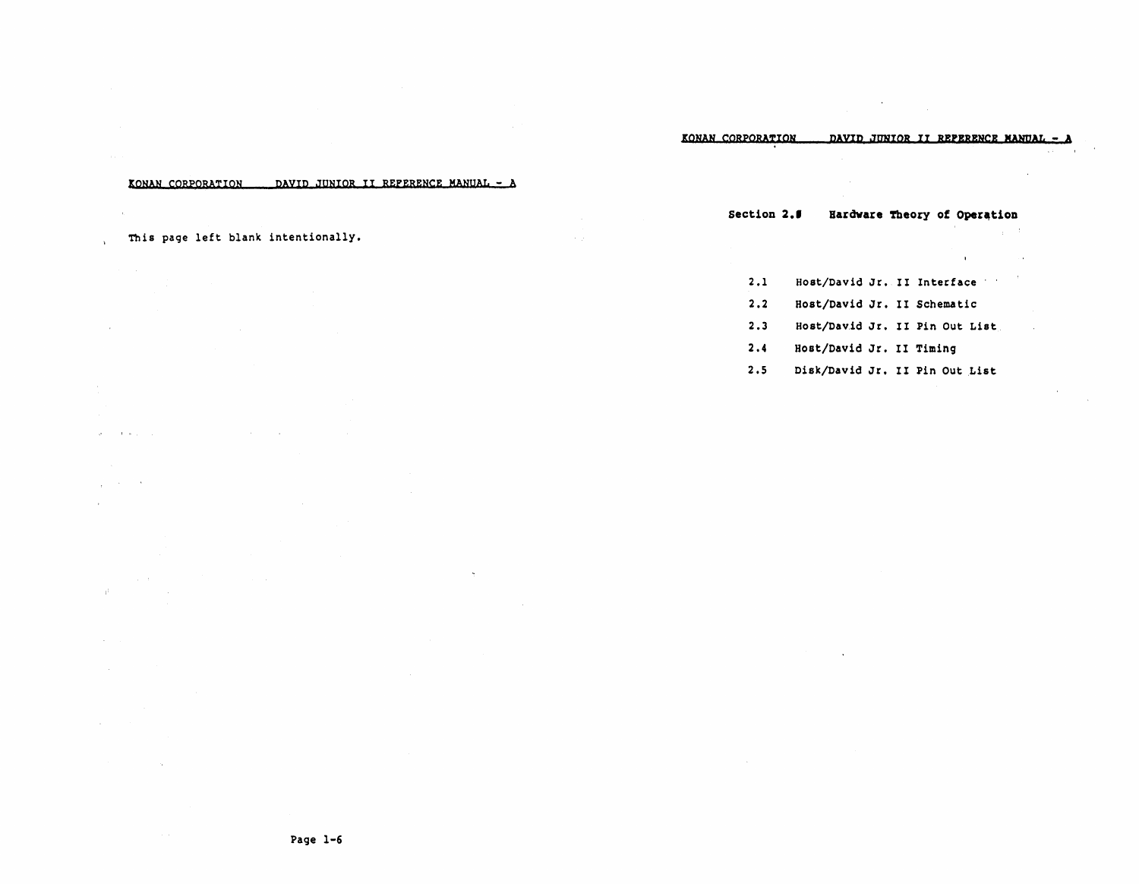KONAN CORPORATION DAVID JUNIOR II REFERENCE MANUAL - A

This page left blank intentionally.

and a string

 $\sim$ 

and the company

 $\alpha$  and  $\alpha$ 

 $\alpha_{\rm eff} = 0.1$ 

 $\sim$ 

 $\beta$ 

 $\ddot{\phantom{1}}$ 

Section 2.5 Hardware Theory of Operation

 $\mathbf{r}$ 

- 2.1 Host/David Jr. II Interface
- 2.2 Host/David Jr. II Schematic
- 2.3 Host/David Jr. II Pin Out List
- 2.4 Host/David Jr. II Timing
- 2.5 Disk/David Jr. II Pin Out List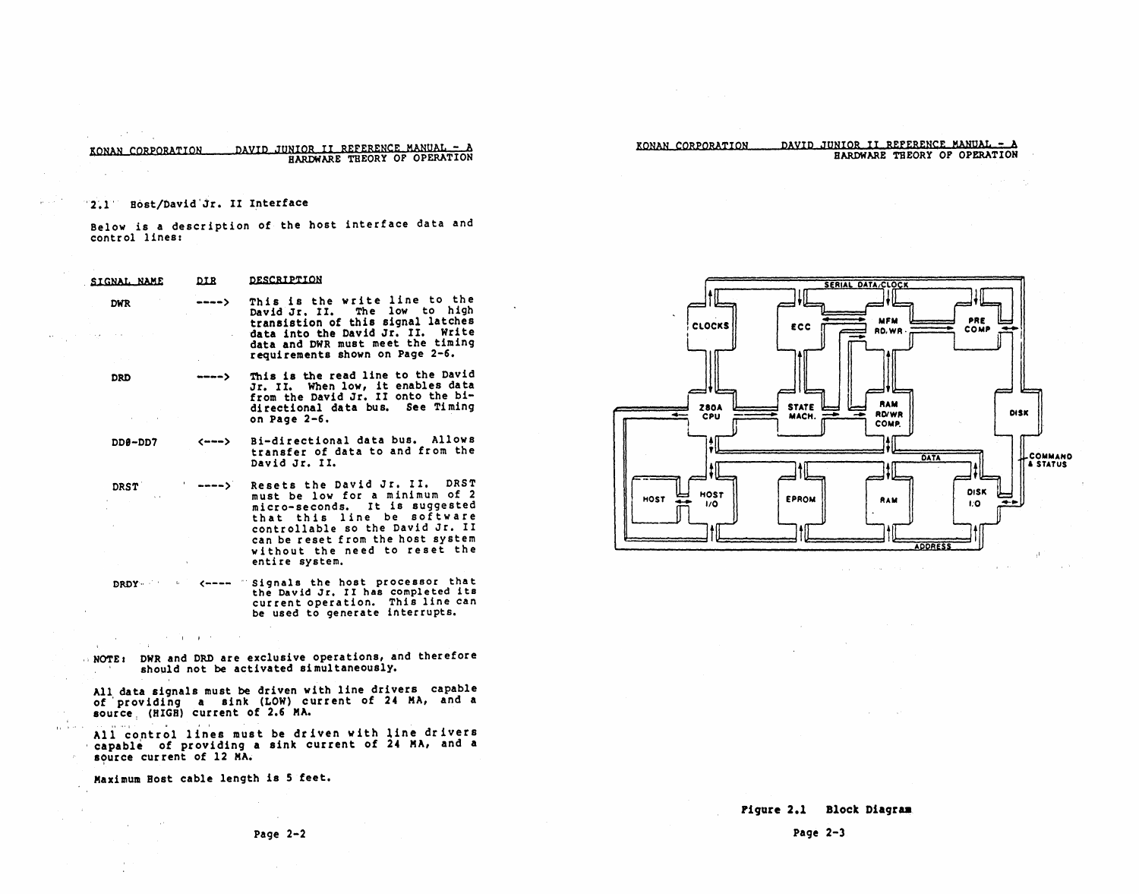DAVID JUNIOR II REFERENCE MANUAL - A KONAN CORPORATION HARDWARE THEORY OF OPERATION

## KONAN CORPORATION DAVID JUNIOR II REFERENCE MANUAL - A BARDWARE THEORY OF OPERATION  $\mathcal{L}_{\mathrm{L}}$  , where  $\mathcal{L}_{\mathrm{L}}$

### 2.1 Bost/David Jr. II Interface

 $\mathcal{L}^{\text{max}}(\mathcal{A},\mathcal{B},\mathcal{B},\mathcal{B})$ 

Below is a description of the host interface data and control lines:

| <b>SIGNAL NAME</b>                                                                              | <b>DIR</b>                                                                                       | <b>DESCRIPTOR</b>                                                                                                                                                                                                                                           |
|-------------------------------------------------------------------------------------------------|--------------------------------------------------------------------------------------------------|-------------------------------------------------------------------------------------------------------------------------------------------------------------------------------------------------------------------------------------------------------------|
| <b>DWR</b><br>state of the company<br>$\gamma$ , $\gamma$ , $\gamma$                            | $\rightarrow$ $\rightarrow$ $\rightarrow$ $\rightarrow$<br>provided a state<br><b>Contractor</b> | This is the write line to the<br>David Jr. II. The low to high<br>transistion of this signal latches<br>data into the David Jr. II. Write<br>data and DWR must meet the timing<br>requirements shown on Page 2-6.                                           |
| DRD<br>$\mathcal{A}(\mathcal{A})$ and $\mathcal{A}(\mathcal{A})$ and $\mathcal{A}(\mathcal{A})$ | $ - -$                                                                                           | This is the read line to the David<br>Jr. II. When low, it enables data<br>from the David Jr. II onto the bi-<br>directional data bus. See Timing<br>on Page 2-6.                                                                                           |
| 7מם-200                                                                                         |                                                                                                  | <---> Bi-directional data bus. Allows<br>transfer of data to and from the<br>David Jr. II.                                                                                                                                                                  |
| DRST<br>$\mathbf{q} = \mathbf{q}$ .<br><b>Contractor</b>                                        | $\rightarrow$ $\rightarrow$ $\rightarrow$ $\rightarrow$<br>All the state of the con-             | Resets the David Jr. II. DRST<br>must be low for a minimum of 2<br>micro-seconds. It is suggested<br>that this line be software<br>controllable so the David Jr. II<br>can be reset from the host system<br>without the need to reset the<br>entire system. |
|                                                                                                 |                                                                                                  | DRDY Signals the host processor that<br>the David Jr. II has completed its<br>current operation. This line can<br>be used to generate interrupts.                                                                                                           |

NOTE: DWR and DRD are exclusive operations, and therefore<br>should not be activated simultaneously.

All data signals must be driven with line drivers capable<br>of providing a sink (LOW) current of 24 MA, and a<br>source (HIGH) current of 2.6 MA.

All control lines must be driven with line drivers capable of providing a sink current of 24 MA, and a<br>source current of 12 MA.

Maximum Host cable length is 5 feet.

 $\label{eq:2.1} \mathcal{L}(\mathbf{z}) = \mathcal{L}(\mathbf{z}) \mathcal{L}(\mathbf{z}) = \mathcal{L}(\mathbf{z}) \mathcal{L}(\mathbf{z}) = \mathcal{L}(\mathbf{z})$ 

 $\sim$ 

 $\sim$   $\sim$ 

as free of



 $\sim 10^{-1}$ 

 $\sim 10^{-1}$ 

**Contract** 

 $\mathcal{L}_{\mathrm{H}}$  , and

Page  $2-3$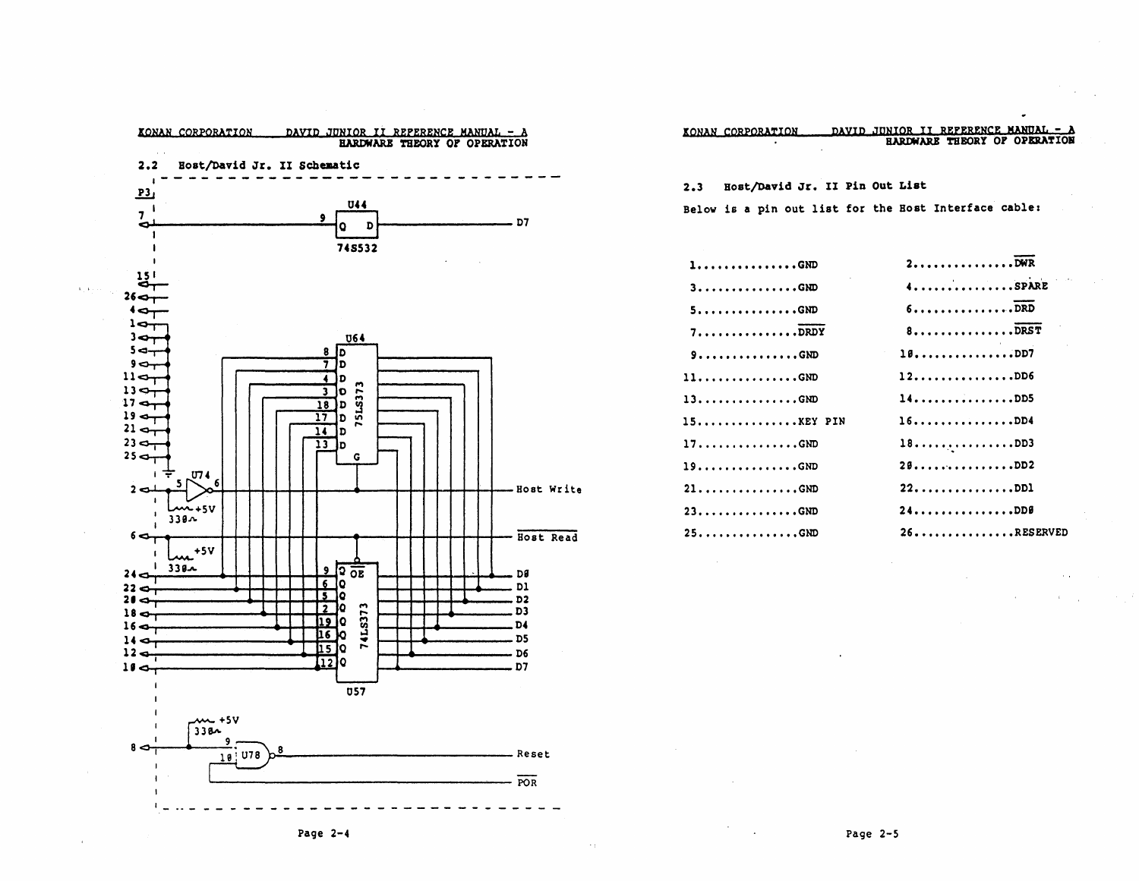

| KONAN CORPORATION |  |  | DAVID JUNIOR II REFERENCE MANUAL - A |
|-------------------|--|--|--------------------------------------|
|                   |  |  | <b>HARDWARE THEORY OF OPERATION</b>  |

2.3 Host/David Jr. II Pin Out List

Below is a pin out list for the Bost Interface cable:

| $1$ GND                                | 2                               |
|----------------------------------------|---------------------------------|
| $3$ GND                                | 4. SPARE                        |
| $5$ GND                                | 6                               |
| $7$ DRDY                               | $8 \ldots  \ldots  \text{DRST}$ |
| $9$ GND                                | 10DD7                           |
| $11$ GND                               | 12                              |
| $13 \ldots \ldots \ldots \ldots$ . GND | 14DD5                           |
| 15KEY PIN                              | 16DD4                           |
| $17$ GND                               | 18DD3                           |
| $19$ GND                               | 28DD2                           |
| $21$ GND                               | 22DD1                           |
| $23$ GND                               | 24                              |
| $25$ GND                               | $26$ RESERVED                   |

Page  $2-5$ 

 $\mathbf{r}$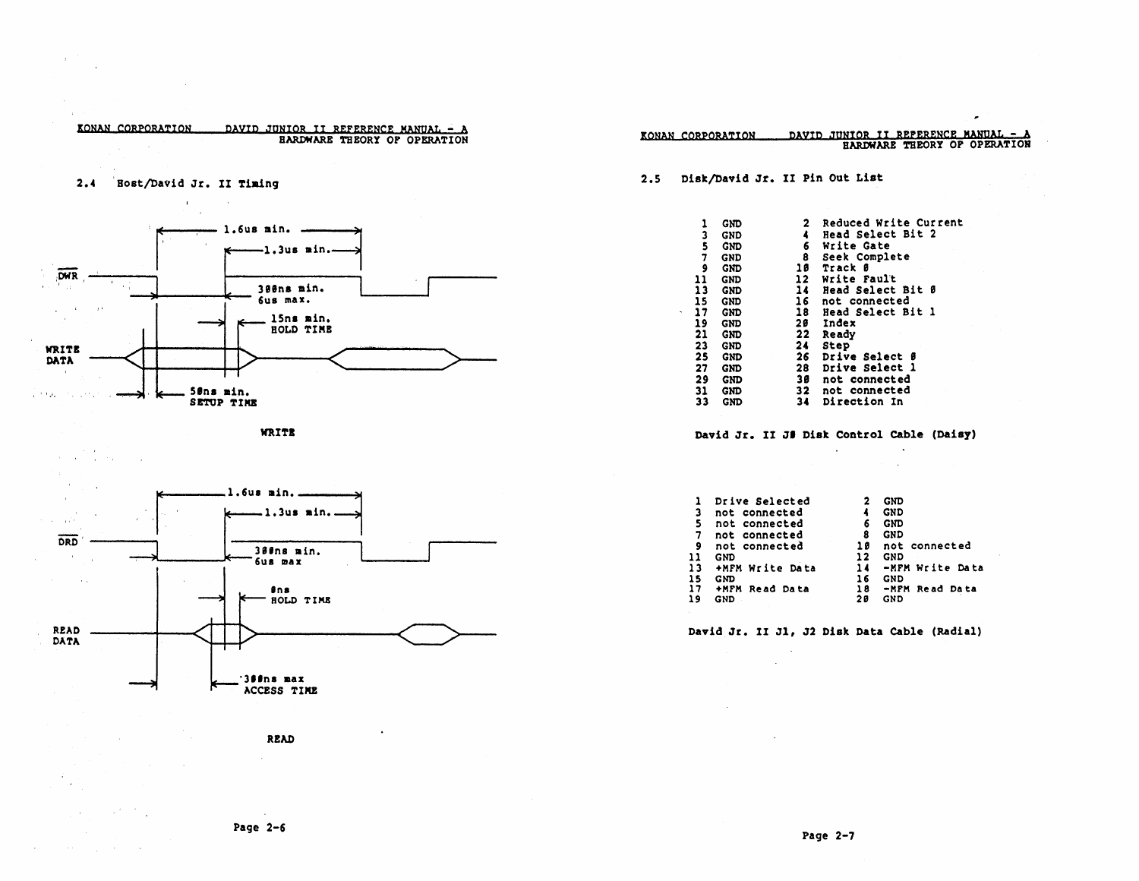

 $\sim$   $\sim$ 

KONAN CORPORATION

 $\sim 10^{-1}$ 

 $\label{eq:2.1} \frac{1}{2} \left( \frac{1}{2} \left( \frac{1}{2} \right) \left( \frac{1}{2} \right) \left( \frac{1}{2} \right) \left( \frac{1}{2} \right) \left( \frac{1}{2} \right) \left( \frac{1}{2} \right) \left( \frac{1}{2} \right) \left( \frac{1}{2} \right) \left( \frac{1}{2} \right) \left( \frac{1}{2} \right) \left( \frac{1}{2} \right) \left( \frac{1}{2} \right) \left( \frac{1}{2} \right) \left( \frac{1}{2} \right) \left( \frac{1}{2} \right$ 

 $\mathcal{L}(\mathcal{A},\mathcal{A})$  , and  $\mathcal{L}(\mathcal{A},\mathcal{A})$  , and  $\mathcal{L}(\mathcal{A},\mathcal{A})$ 

 $\sim$ 

 $\sim 10$ 



|                 | 2.5 Disk/David Jr. II Pin Out List |                 |                                                                                                               |                                                |
|-----------------|------------------------------------|-----------------|---------------------------------------------------------------------------------------------------------------|------------------------------------------------|
|                 |                                    |                 |                                                                                                               |                                                |
|                 | 1 GND<br>3 GND                     |                 |                                                                                                               | 2 Reduced Write Current<br>4 Head Select Bit 2 |
|                 | 5 GND                              |                 | 6 Write Gate                                                                                                  |                                                |
|                 | 7 GND<br>9 GND                     |                 | 8 Seek Complete                                                                                               |                                                |
|                 |                                    |                 | 8 Seek Complete<br>10 Track 0<br>12 Write Fault                                                               |                                                |
|                 | 11 GND<br>13 GND                   |                 |                                                                                                               |                                                |
|                 | 15 GND                             |                 |                                                                                                               | 14 Head Select Bit 0<br>16 not connected       |
|                 |                                    |                 |                                                                                                               | 18 Head Select Bit 1                           |
|                 | 17 GND<br>19 GND<br>21 GND         |                 | 20 Index<br>22 Ready                                                                                          |                                                |
|                 |                                    |                 | 22 Ready<br>26 Drive Select 8<br>26 Drive Select 1<br>38 not connected<br>32 not connected<br>34 Direction In |                                                |
|                 | 23 GND<br>25 GND                   |                 |                                                                                                               |                                                |
|                 | 27 GND                             |                 |                                                                                                               |                                                |
|                 | 29 GND                             |                 |                                                                                                               |                                                |
|                 | $31$ GND<br>$33$ GND               |                 |                                                                                                               |                                                |
|                 |                                    |                 | $\mathcal{L}^{\text{max}}$                                                                                    | David Jr. II J# Disk Control Cable (Daisy)     |
|                 |                                    |                 |                                                                                                               |                                                |
|                 |                                    |                 |                                                                                                               |                                                |
| 3.              | 1 Drive Selected                   |                 |                                                                                                               | 2 GND                                          |
| 5.              | not connected<br>not connected     |                 |                                                                                                               | 4 GND<br>6 GND                                 |
|                 | 7 not connected                    |                 |                                                                                                               | 8 GND                                          |
| 9.              | not connected                      |                 |                                                                                                               | 10 not connected                               |
| 13 <sub>1</sub> | 11 GND                             | +MFM Write Data |                                                                                                               | 12 GND<br>14 -MFM Write Data                   |
| 15              | <b>GND</b>                         |                 |                                                                                                               |                                                |
|                 | 17 +MFM Read Data<br>19 GND        |                 |                                                                                                               | 16 GND<br>18 -MFM Read Data<br><b>20 GND</b>   |
|                 |                                    |                 |                                                                                                               |                                                |
|                 |                                    |                 |                                                                                                               | David Jr. II J1, J2 Disk Data Cable (Radial)   |
|                 |                                    |                 |                                                                                                               |                                                |

Page  $2-6$ 

 $\sim$ 

 $\sim$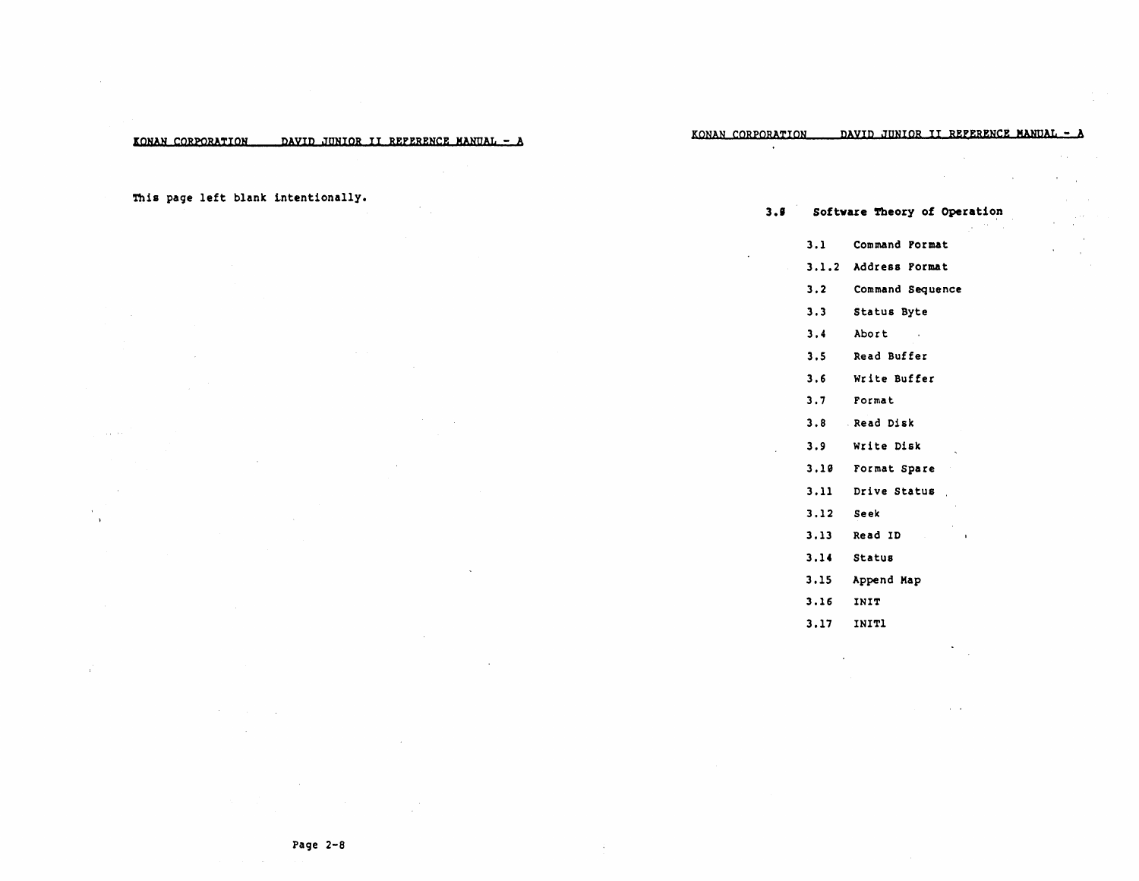KONAN CORPORATION PAYID JUNIOR II REFERENCE MANUAL - AKONAN CORPORATION PAYID JUNIOR II REFERENCE MANUAL - A

This page left blank intentionally.

**Sales** 

 $\overline{1}$ 

3.9 Software Theory of Operation 3.1 Command Format 3.1.2 Address Format 3.2 Command Sequence 3.3 Status Byte 3.4 Abort  $\sim 100$ 3.5 Read Buffer 3.6 Write Buffer 3.7 Format 3.8 . Read Disk 3.9 write Disk 3.19 Format Spare 3.11 Drive Status 3.12 Seek 3.13 Read 10  $\mathbf{r}$ 3.14 StatUB 3.15 Append Map 3.16 INIT 3.17 INITl

 $\overline{a}$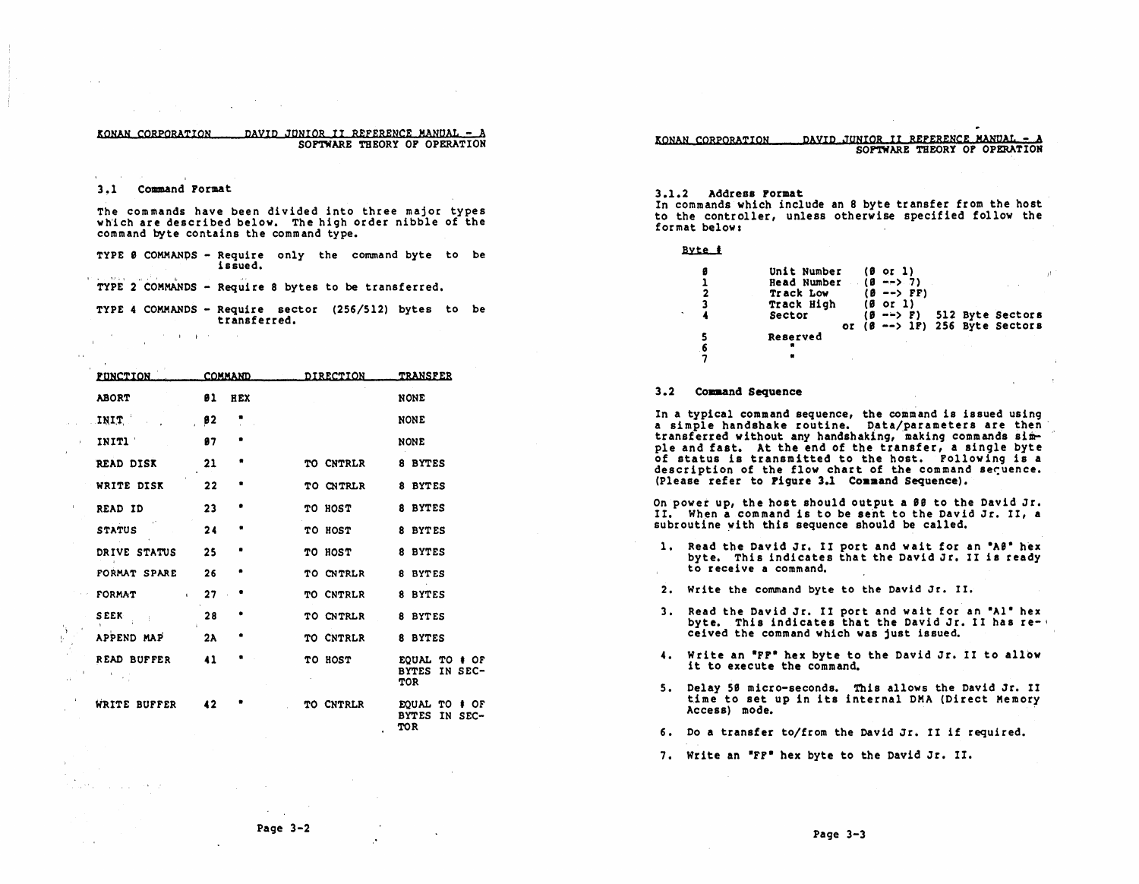#### EONAN CORPORATION DAVID JQNIOR II ReFERENCE MANQAL - A SOFTWARE THEORY OF OPERATION

#### 3~1 Command Format

The commands have been divided into three major types wh'ich are described below. The high order nibble of the command byte contains the command type.

TYPE 8 COMMANDS - Require only the command byte to be issued.

TYPE 2 COMMANDS - Require 8 bytes to be transferred.

- TYPE 4 COMMANDS Require sector (256/512) bytes to be transferred.
	- $\mathcal{O}(2\pi)$  . The projection of  $\mathcal{O}(2\pi)$

 $\rightarrow$ 

settle countries and the pr

I,

| <b>FUNCTION</b>             |    | <b>COMMAND</b> | DIRECTION | <b>TRANSFER</b>                                            |
|-----------------------------|----|----------------|-----------|------------------------------------------------------------|
| <b>ABORT</b>                | 81 | <b>HEX</b>     |           | <b>NONE</b>                                                |
| INIT                        | 92 |                |           | <b>NONE</b>                                                |
| INIT1                       | 87 |                |           | <b>NONE</b>                                                |
| <b>READ DISK</b>            | 21 |                | TO CNTRLR | 8 BYTES                                                    |
| WRITE DISK                  | 22 | ۰              | TO CNTRLR | 8 BYTES                                                    |
| READ ID                     | 23 |                | TO HOST   | 8 BYTES                                                    |
| <b>STATUS</b>               | 24 | ۰              | TO HOST   | 8 BYTES                                                    |
| DRIVE STATUS                | 25 |                | TO HOST   | 8 BYTES                                                    |
| FORMAT SPARE                | 26 | ۰              | TO CNTRLR | 8 BYTES                                                    |
| FORMAT<br>$\mathbf{C}$      | 27 |                | TO CNTRLR | 8 BYTES                                                    |
| <b>SEEK</b><br>- 1          | 28 |                | TO CNTRLR | 8 BYTES                                                    |
| APPEND MAP                  | 2A |                | TO CNTRLR | 8 BYTES                                                    |
| READ BUFFER<br>$\mathbf{L}$ | 41 |                | TO HOST   | EOUAL TO #<br>OF.<br><b>BYTES</b><br>IN SEC-<br><b>TOR</b> |
| WRITE BUFFER                | 42 |                | TO CNTRLR | <b>EOUAL TO # OF</b><br><b>BYTES</b><br>IN SEC-<br>TOR     |

#### 3.1.2 Address Format

In commands which include an 8 byte transfer from the host to the controller, unless otherwise specified follow the format below:

| Byte #  |                                                                        |                                                                           |  |                                                                                 |
|---------|------------------------------------------------------------------------|---------------------------------------------------------------------------|--|---------------------------------------------------------------------------------|
| a<br>2  | Unit Number<br><b>Read Number</b><br>Track Low<br>Track High<br>Sector | $(0 \text{ or } 1)$<br>$(0 - -) 7$<br>$(0$ --> FF)<br>$(0 \text{ or } 1)$ |  | $(B \rightarrow P)$ 512 Byte Sectors<br>or $(B \rightarrow P)$ 256 Byte Sectors |
| 5<br>-6 | Reserved                                                               |                                                                           |  |                                                                                 |

#### 3.2 Comaand Sequence

In a typical command sequence, the command is issued using a simple handshake routine. Data/parameters are then transferred without any handshaking, making commands simple and fast. At the end of the transfer, a single byte of status is transmitted to the host. Following is a description of the flow chart of the command sequence. (Please refer to Pigure 3.1 Command Sequence).

On power up, the host should output a 89 to the David Jr. II. When a command is to be sent to the David Jr. II, a subroutine with this sequence should be called.

- 1. Read the David Jr. II port and wait for an "A0" hex byte. This indicates that the David Jr. II is ready to receive a command.
- 2. Write the command byte to the David Jr. II.
- 3. Read the David Jr. II port and wait for an "Al" hex byte. This indicates that the David Jr. II has received the command which was just issued.
- 4. Write an "FF" hex byte to the David Jr. II to allow it to execute the command.
- 5. Delay 5S micro-seconds. This allows the David Jr. II time to set up in its internal DMA (Direct Memory Access) mode. '
- 6. Do a transfer to/from the David Jr. II if required.

7. Write an ·FF· hex byte to the David Jr. II.

,"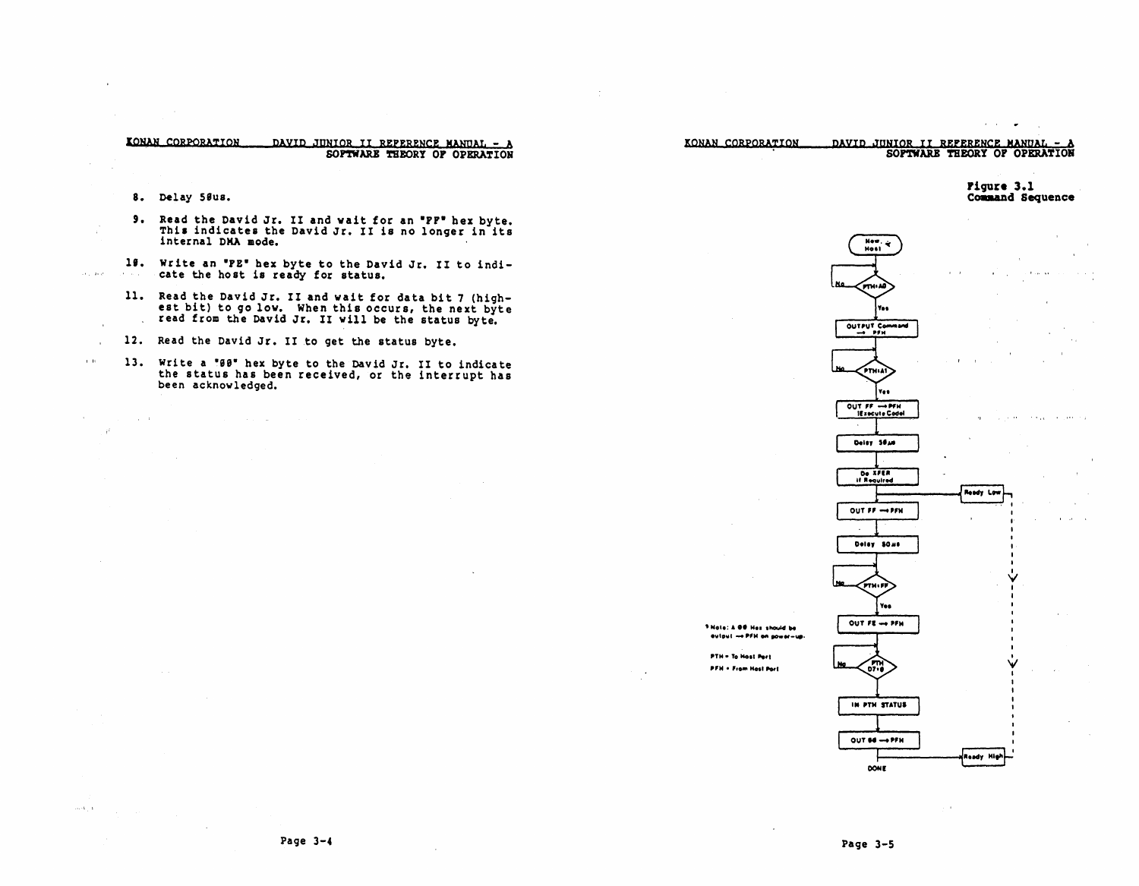

Page  $3-4$ 

Page 3-5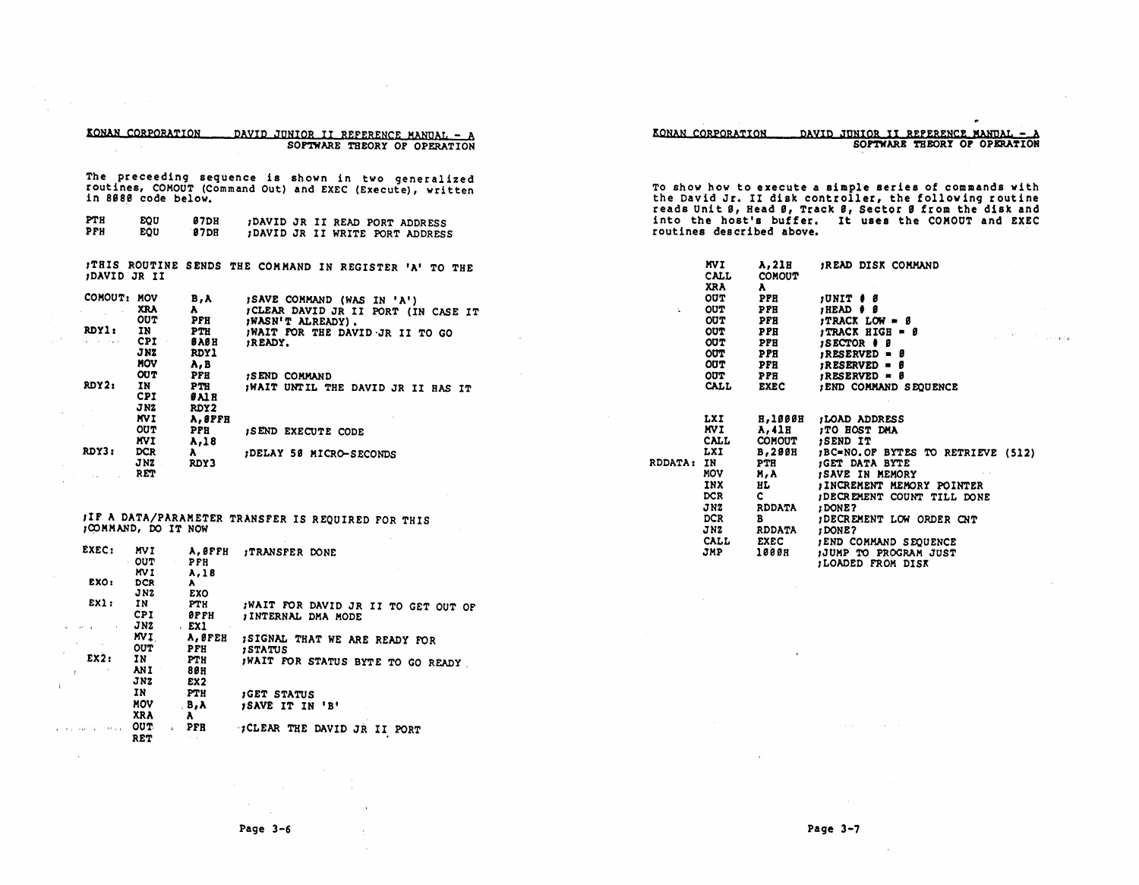|                                                                  | KONAN CORPORATION                                                                       |                                                                                                   | DAVID JUNIOR II REFERENCE MANUAL - A<br>SOPTWARE THEORY OF OPERATION                                                                                                                                      |                | KONAN CORPORATION<br>DAVID JUNIOR II REFERENCE MANUAL - A<br>SOFTWARE THEORY OF OPERATION                            |                                                                            |                                                                                                                                                                                                                                     |  |  |  |  |
|------------------------------------------------------------------|-----------------------------------------------------------------------------------------|---------------------------------------------------------------------------------------------------|-----------------------------------------------------------------------------------------------------------------------------------------------------------------------------------------------------------|----------------|----------------------------------------------------------------------------------------------------------------------|----------------------------------------------------------------------------|-------------------------------------------------------------------------------------------------------------------------------------------------------------------------------------------------------------------------------------|--|--|--|--|
| PTH                                                              | in 8080 code below.                                                                     |                                                                                                   | The preceeding sequence is shown in two generalized<br>routines, COMOUT (Command Out) and EXEC (Execute), written                                                                                         |                |                                                                                                                      |                                                                            | To show how to execute a simple series of commands with<br>the David Jr. II disk controller, the following routine<br>reads Unit 0, Head 0, Track 0, Sector 9 from the disk and                                                     |  |  |  |  |
| PFH                                                              | EQU<br><b>EOU</b>                                                                       | <b>87DH</b><br><b>87DR</b>                                                                        | ;DAVID JR II READ PORT ADDRESS<br>; DAVID JR II WRITE PORT ADDRESS                                                                                                                                        |                |                                                                                                                      | routines described above.                                                  | into the host's buffer. It uses the COMOUT and EXEC                                                                                                                                                                                 |  |  |  |  |
|                                                                  | <b>DAVID JR II</b>                                                                      |                                                                                                   | ITHIS ROUTINE SENDS THE COMMAND IN REGISTER 'A' TO THE                                                                                                                                                    |                | MVI.<br><b>CALL</b><br><b>XRA</b>                                                                                    | A, 21B<br><b>COMOUT</b><br>$\mathbf{A}$                                    | READ DISK COMMAND                                                                                                                                                                                                                   |  |  |  |  |
| COMOUT: MOV<br>RDYl:<br>والموارد والمراوي<br>RDY2:               | <b>XRA</b><br><b>OUT</b><br>IN<br>CPI.<br>J NZ<br>MOV<br><b>OUT</b><br>IN<br><b>CPI</b> | B,A<br>A.<br>PFH<br><b>PTH</b><br>вавн<br><b>RDY1</b><br>A, B<br>PFH<br><b>PTH</b><br><b>BAIR</b> | ; SAVE COMMAND (WAS IN 'A')<br>; CLEAR DAVID JR II PORT (IN CASE IT<br><b>¡WASN'T ALREADY).</b><br>WAIT FOR THE DAVID JR II TO GO<br>READY.<br><b>ISEND COMMAND</b><br>¡WAIT UNTIL THE DAVID JR II HAS IT | $\mathbf{x}$ . | <b>OUT</b><br><b>OUT</b><br><b>OUT</b><br><b>OUT</b><br><b>OUT</b><br>OUT<br><b>OUT</b><br><b>OUT</b><br><b>CALL</b> | PFH<br>PFH<br>PFH<br>PPH<br>PFH<br>PPH<br><b>PFH</b><br>PPH<br><b>EXEC</b> | $JUNIT + \theta$<br>$HED + \theta$<br>$TRACT LOW = \beta$<br>$\int \text{TRACK HIGH} = \theta$<br><b>ISECTOR # 8</b><br>$; RESERVED = \theta$<br>$i$ RESERVED = $\theta$<br>$; RESERVED = B$<br><b><i>IEND COMMAND SEQUENCE</i></b> |  |  |  |  |
| RDY3:                                                            | J <sub>N2</sub><br><b>MVI</b><br><b>OUT</b><br>MVI.<br><b>DCR</b><br>JNZ                | RDY2<br>A, ØPFH<br>PFH<br>A.18<br>$\lambda$<br>RDY3                                               | <b>ISEND EXECUTE CODE</b><br>;DELAY 50 MICRO-SECONDS                                                                                                                                                      | RDDATA: IN     | LXI<br>MVI.<br><b>CALL</b><br>LXI                                                                                    | <b>H.1000H</b><br>A.41H<br><b>COMOUT</b><br><b>B,200H</b><br>PTH           | ;LOAD ADDRESS<br>TO HOST DMA<br>SEND IT<br>;BC=NO.OF BYTES TO RETRIEVE (512)<br><b>JGET DATA BYTE</b>                                                                                                                               |  |  |  |  |
|                                                                  | <b>RET</b><br>JOOMMAND, DO IT NOW                                                       |                                                                                                   | JIF A DATA/PARAMETER TRANSFER IS REQUIRED FOR THIS                                                                                                                                                        |                | <b>MOV</b><br>INX<br><b>DCR</b><br>JNZ<br><b>DCR</b><br>JNZ                                                          | M, A<br>HL.<br>$\mathbf{c}$<br><b>RDDATA</b><br>B<br><b>RDDATA</b>         | ISAVE IN MEMORY<br><b>JINCREMENT MEMORY POINTER</b><br>; DECREMENT COUNT TILL DONE<br>; DONE?<br>IDECREMENT LOW ORDER CNT<br>; DONE?                                                                                                |  |  |  |  |
| EXEC:<br>EXO:                                                    | MVI<br>OUT<br>MV I<br><b>DCR</b>                                                        | A.OFFH<br>PFH<br>A,18<br>$\mathbf{A}$                                                             | <b>ITRANSFER DONE</b>                                                                                                                                                                                     |                | <b>CALL</b><br>JMP                                                                                                   | <b>EXEC</b><br>1000H                                                       | <b>; END COMMAND SEQUENCE</b><br>JUMP TO PROGRAM JUST<br>LOADED FROM DISK                                                                                                                                                           |  |  |  |  |
| EX1:                                                             | J <sub>N2</sub><br>IN<br><b>CPI</b><br>JNZ                                              | <b>EXO</b><br>PTH<br><b>OPFH</b><br>EX1                                                           | ; WAIT FOR DAVID JR II TO GET OUT OF<br>INTERNAL DMA MODE                                                                                                                                                 |                |                                                                                                                      |                                                                            |                                                                                                                                                                                                                                     |  |  |  |  |
| EX2:                                                             | <b>MVI</b><br><b>OUT</b><br>IN<br>ANI.<br>JNZ                                           | A, ØFEH<br>PFH<br>PTH<br>80 H<br>EX <sub>2</sub>                                                  | ; SIGNAL THAT WE ARE READY FOR<br><b>STATUS</b><br>WAIT FOR STATUS BYTE TO GO READY                                                                                                                       |                |                                                                                                                      |                                                                            |                                                                                                                                                                                                                                     |  |  |  |  |
|                                                                  | IN<br><b>MOV</b><br><b>XRA</b>                                                          | <b>PTH</b><br>B, A<br>$\mathbf{A}$                                                                | GET STATUS<br>ISAVE IT IN 'B'                                                                                                                                                                             |                |                                                                                                                      |                                                                            |                                                                                                                                                                                                                                     |  |  |  |  |
| $\mathcal{A}(\mathcal{F})_{\mathcal{A}^{\prime}}(\mathcal{G})$ . | OUT.<br>$\mathbf{a}$<br><b>RET</b>                                                      | PFH                                                                                               | :; CLEAR THE DAVID JR II PORT                                                                                                                                                                             |                |                                                                                                                      |                                                                            |                                                                                                                                                                                                                                     |  |  |  |  |

 $\sim 10^{-1}$ 

 $\sim 10^{-1}$ 

 $\sim$ 

 $\sim$ 

 $\alpha$ 

 $\pm$ nia.

 $\sim$   $\sim$ 

 $\sim$   $\epsilon$ 

 $\sim$ 

 $\bar{a}$  $\mathcal{L}$ 

 $\mathbf{1}$ 

 $\alpha=0.1$  ) and  $\lambda$ 

 $\sim$ 

 $\sim$ 

 $\cdot$ 

 $\sim 10^7$ 

 $\bullet$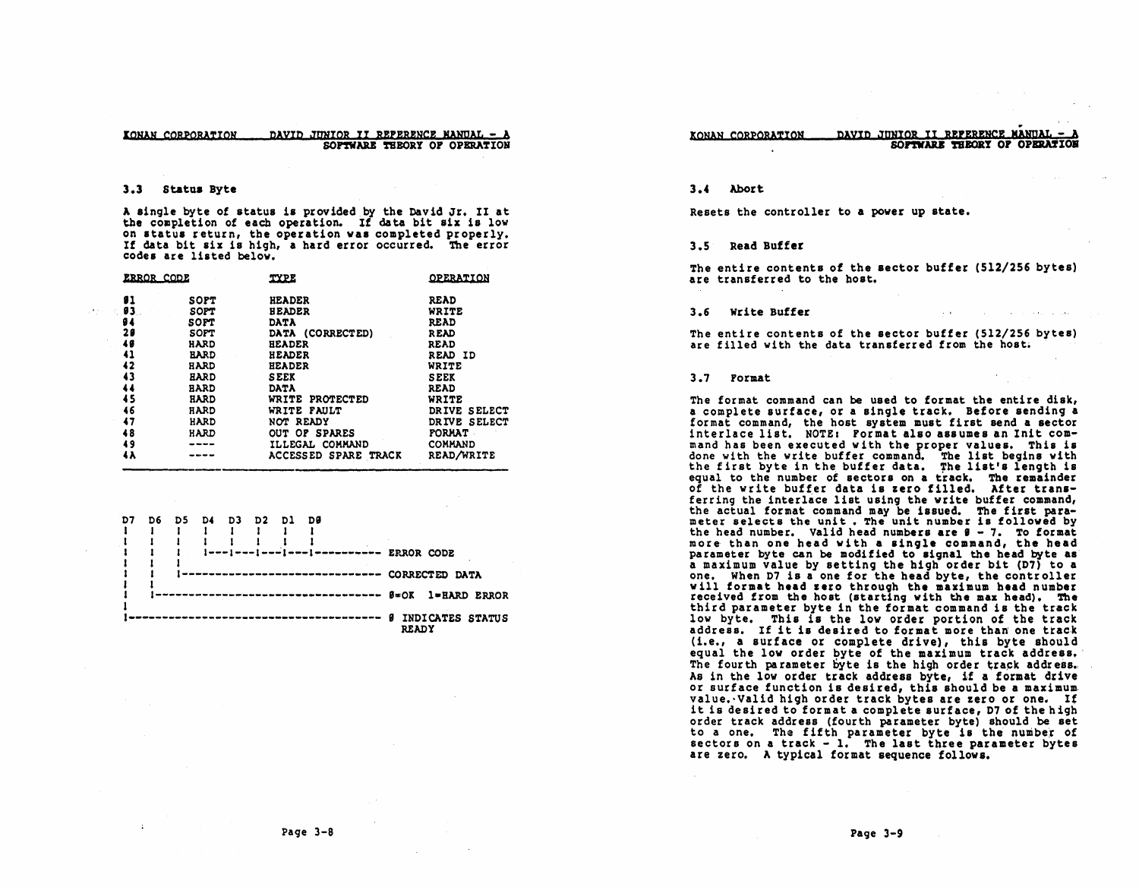#### DAVID JUNIOR II REPERENCE MANUAL - A KONAN CORPORATION SOPTWARE THEORY OF OPERATION

#### $3.3$ Status Byte

A single byte of status is provided by the David Jr. II at the completion of each operation. If data bit six is low on status return, the operation was completed properly. If data bit six is high, a hard error occurred. The error codes are listed below.

| ERROR CODE |             | <b>TYPE</b>          | <b>OPERATION</b> |
|------------|-------------|----------------------|------------------|
| 81         | <b>SOPT</b> | <b>HEADER</b>        | <b>READ</b>      |
| 93.        | <b>SOPT</b> | <b>HEADER</b>        | WRITE            |
| 94         | SOPT        | <b>DATA</b>          | <b>READ</b>      |
| 20         | <b>SOFT</b> | DATA (CORRECTED)     | <b>READ</b>      |
| 48         | HARD        | <b>HEADER</b>        | READ             |
| 41         | <b>HARD</b> | <b>HEADER</b>        | READ ID          |
| 42         | HARD        | <b>HEADER</b>        | WRITE            |
| 43         | HARD        | <b>SEEK</b>          | <b>SEEK</b>      |
| 44         | <b>HARD</b> | <b>DATA</b>          | <b>READ</b>      |
| 45         | HARD        | WRITE PROTECTED      | WRITE            |
| 46         | HARD        | WRITE FAULT          | DRIVE SELECT     |
| 47         | HARD        | NOT READY            | DRIVE SELECT     |
| 48         | HARD        | OUT OF SPARES        | <b>FORMAT</b>    |
| 49         |             | ILLEGAL COMMAND      | COMMAND          |
| 4 A        |             | ACCESSED SPARE TRACK | READ/WRITE       |



#### DAVID JUNIOR II REPERENCE MANUAL -KONAN CORPORATION SOFTWARE THEORY OF OPERATION

#### $3.4$ Abort

Resets the controller to a power up state.

#### 3.5 Read Buffer

The entire contents of the sector buffer (512/256 bytes) are transferred to the host.

#### $3.6$ Write Buffer

The entire contents of the sector buffer (512/256 bytes) are filled with the data transferred from the host.

#### 3.7 Pormat

The format command can be used to format the entire disk. a complete surface, or a single track. Before sending a format command, the host system must first send a sector interlace list. NOTE: Pormat also assumes an Init command has been executed with the proper values. This is done with the write buffer command. The list begins with<br>the first byte in the buffer data. The list's length is equal to the number of sectors on a track. The remainder of the write buffer data is zero filled. After transferring the interlace list using the write buffer command, the actual format command may be issued. The first parameter selects the unit. The unit number is followed by the head number. Valid head numbers are  $9 - 7$ . To format more than one head with a single command, the head parameter byte can be modified to signal the head byte as a maximum value by setting the high order bit (D7) to a one. When D7 is a one for the head byte, the controller will format head zero through the maximum head number received from the host (starting with the max head). The third parameter byte in the format command is the track low byte. This is the low order portion of the track address. If it is desired to format more than one track (i.e., a surface or complete drive), this byte should equal the low order byte of the maximum track address. The fourth parameter byte is the high order track address. As in the low order track address byte, if a format drive or surface function is desired, this should be a maximum value. Valid high order track bytes are zero or one. If it is desired to format a complete surface, D7 of the high order track address (fourth parameter byte) should be set to a one. The fifth parameter byte is the number of sectors on a track - 1. The last three parameter bytes are zero. A typical format sequence follows.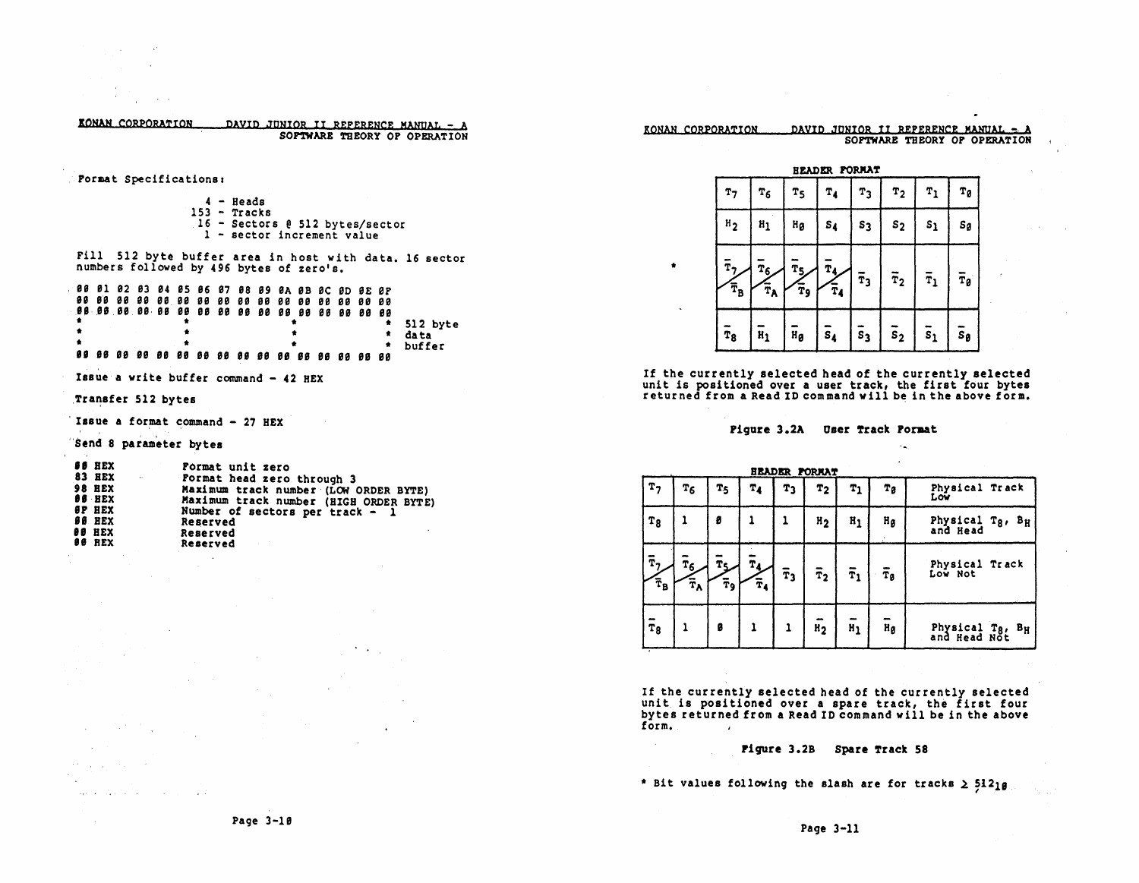| KONAN CORPORATION |  |  | DAVID JUNIOR II REPERENCE MANUAL - A |
|-------------------|--|--|--------------------------------------|
|                   |  |  | SOPTWARE THEORY OF OPERATION         |

Pormat Specifications:

|  | $4 - Heads$                       |
|--|-----------------------------------|
|  | $153 -$ Tracks                    |
|  | $16$ - Sectors @ 512 bytes/sector |
|  | $1$ - sector increment value      |

Fill 512 byte buffer area in host with data. 16 sector numbers followed by 496 bytes of zero's.

|  | 88 81 82 83 84 85 86 87 88 89 8A 8B 8C 8D 8E 8F |  |  |  |  |  |  |          |
|--|-------------------------------------------------|--|--|--|--|--|--|----------|
|  |                                                 |  |  |  |  |  |  | 512 byte |
|  |                                                 |  |  |  |  |  |  | data     |
|  |                                                 |  |  |  |  |  |  | buffer   |
|  |                                                 |  |  |  |  |  |  |          |

Issue a write buffer command - 42 HEX

### Transfer 512 bytes

in t

Resources the control

special contracts and contracts of the

Issue a format command - 27 HEX

Send 8 parameter bytes

| <b>SS HEX</b>           | Format unit zero                       |
|-------------------------|----------------------------------------|
| <b>83 BEX</b><br>$\sim$ | Format head zero through 3             |
| <b>98 HEX</b>           | Maximum track number (LOW ORDER BYTE)  |
| <b>08 HEX</b>           | Maximum track number (HIGH ORDER BYTE) |
| <b>OP HEX</b>           | Number of sectors per track $-1$       |
| <b>88 HEX</b>           | Reserved                               |
| <b>OO HEX</b>           | Reserved                               |
| 00 REX                  | Reserved                               |

#### DAVID JUNIOR II REPERENCE MANUAL = A KONAN CORPORATION SOFTWARE THEORY OF OPERATION



 $\bullet$ 

 $\sim 10^{-1}$ 

If the currently selected head of the currently selected<br>unit is positioned over a user track, the first four bytes<br>returned from a Read ID command will be in the above form.

Pigure 3.2A User Track Format

 $\mathcal{L}_{\mathbf{m}_{1}}$ 

|                        |                                                |          |                                        |             | <b>HEADER FORMAT</b> |                      |                  |                                                    |
|------------------------|------------------------------------------------|----------|----------------------------------------|-------------|----------------------|----------------------|------------------|----------------------------------------------------|
| T <sub>7</sub>         | T6                                             | T5       | Τ4                                     | T3          | т2                   | Τ1                   | Тg               | Physical Track<br>Low                              |
| T <sub>8</sub>         |                                                | 8        |                                        |             | H <sub>2</sub>       | $n_1$                | H <sub>g</sub>   | Physical Tg, BH<br>and Head                        |
| Ŧ,<br>$\bar{\tau}_{B}$ | $\bar{\mathbf{r}}_6$<br>$\bar{\tau}_{\lambda}$ | Тc<br>Ŧ9 | $\mathbf{T}_4$<br>$\mathbf{\bar{r}_4}$ | $\bar{r}_3$ | $\bar{r}_2$          | $\bar{\mathbf{r}}_1$ | $\bar{\tau}_g$   | Physical Track<br>Low Not                          |
| $\overline{r}_8$       |                                                | ø        |                                        |             | H <sub>2</sub>       | $H_1$                | $H_{\mathbf{g}}$ | Physical T <sub>8</sub> .<br>$B_H$<br>and Head Not |

If the currently selected head of the currently selected<br>unit is positioned over a spare track, the first four<br>bytes returned from a Read ID command will be in the above form.

### Figure 3.2B Spare Track 58

\* Bit values following the slash are for tracks 2 51210

 $\ddot{\phantom{a}}$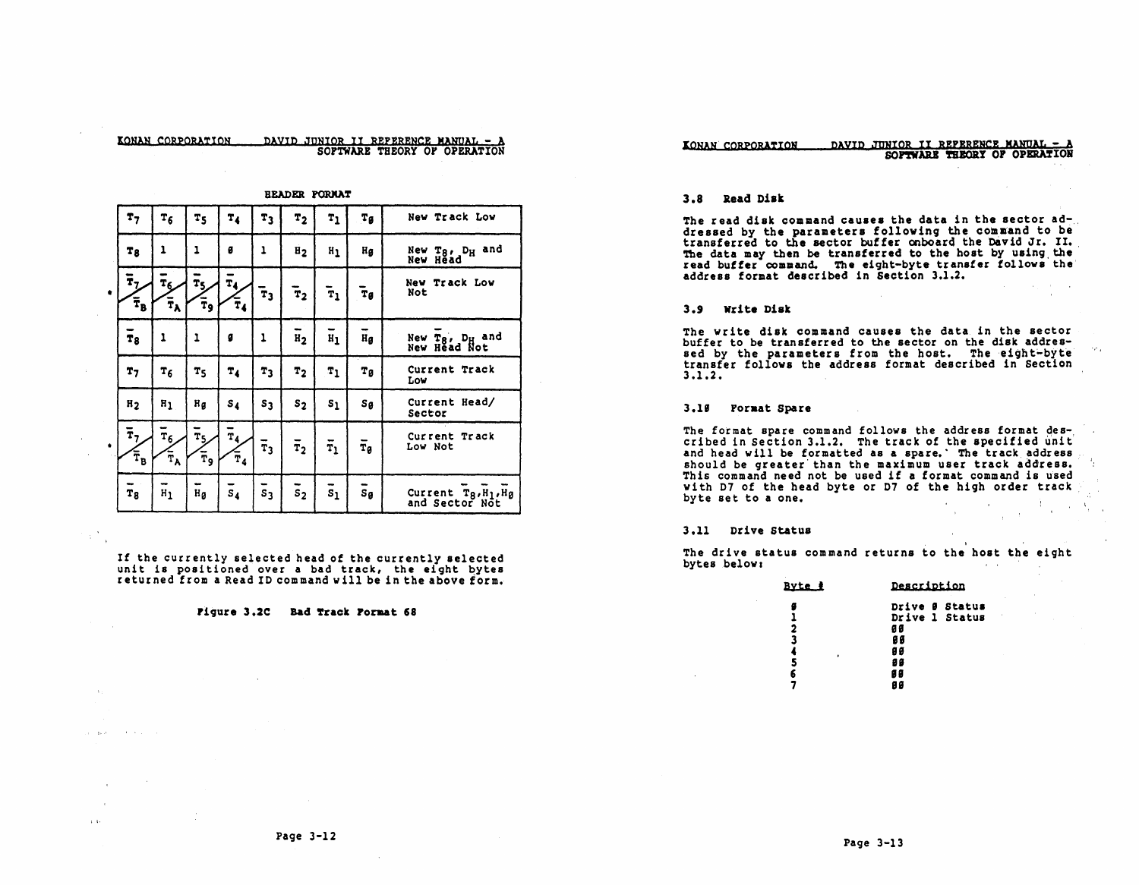#### IONhN CORPORATION DAYID JUNIOR II REPERENCE MANUAL - <sup>A</sup> SOFTWARB THEORY OF OPERATION

|           |                                                          |                                                               |                                            |                                            |                      | <b>BEADER PORMAT</b> |                      |                    |                                                         |
|-----------|----------------------------------------------------------|---------------------------------------------------------------|--------------------------------------------|--------------------------------------------|----------------------|----------------------|----------------------|--------------------|---------------------------------------------------------|
|           | r <sub>7</sub>                                           | $T_6$                                                         | $T_{5}$                                    | Τ,                                         | т,                   | T <sub>2</sub>       | $T_1$                | Tg                 | New Track Low                                           |
|           | Tg                                                       | ı                                                             | 1                                          | ø                                          | ı                    | E <sub>2</sub>       | n <sub>1</sub>       | Ηg                 | New T <sub>8</sub> , D <sub>H</sub> and<br>New Head     |
| ٠         | $\hat{\mathbf{r}}_{\mathcal{I}}$<br>$\mathbf{\bar{T}_B}$ | $\mathbf{r}_6$<br>$\tilde{\mathbf{T}}_{\mathbf{A}}$           | $\tilde{\mathbf{r}}_{5}$<br>Ŧ9             | $\mathbf{T}_4$<br>Ŧ,                       | $\mathbf{\bar{r}_3}$ | $\mathbf{\bar{r}_2}$ | $\bar{\textbf{r}}_1$ | Ŧø                 | Track Low<br>New<br>Not                                 |
|           | $T_8$                                                    | 1                                                             | 1                                          | g                                          | ı                    | -<br>$H_2$           | $H_1$                | ÷<br>Hg            | New T <sub>8</sub> , D <sub>H</sub> and<br>New Head Not |
|           | T7                                                       | Τ6                                                            | T <sub>5</sub>                             | $T_{4}$                                    | T <sub>3</sub>       | T <sub>2</sub>       | $T_1$                | Тg                 | Current Track<br>Low                                    |
|           | n <sub>2</sub>                                           | n <sub>1</sub>                                                | Hg                                         | s <sub>4</sub>                             | s <sub>3</sub>       | $s_{2}$              | $\mathbf{s}_1$       | $S_{\theta}$       | Current Head/<br>Sector                                 |
| $\bullet$ | $\tilde{\mathbf{r}}_{7}$<br>$\bar{\tau}_{\texttt{B}}$    | $\bar{\mathbf{r}}_6$<br>$\widetilde{\mathbf{r}}_{\mathbf{A}}$ | $\mathbf{r}_{5}$<br>$\bar{\mathtt{r}}_{9}$ | $\overline{\mathtt{r}}_{4}$<br>$\bar{r}_4$ | $\overline{r}_3$     | $\bar{r}_2$          | $\bar{\mathtt{r}}_1$ | $\bar{r}_g$        | Current Track<br>Low Not                                |
|           | T <sub>8</sub>                                           | w<br>$H_1$                                                    | $H_{\mathcal{B}}$                          | $\bar{s}_4$                                | $\overline{s}_3$     | $\overline{s}_2$     | $\overline{s}_1$     | $\overline{s}_{g}$ | Current Tg, H <sub>1</sub> , Hg<br>and Sector Not       |

If the currently selected head of the currently selected unit is pOSitioned over a bad track, the eight bytes returned from a Read 10 command will be in the above form.

rigure 3.2C Bad Track roraat 68

and season in the season.

 $\alpha$  $\alpha$  .

#### DAVID JUNIOR II REPERENCE MANUAL -KONAN CORPORATION SOFTWARE THEORY OF OPERATION

#### 3.8 Read Disk

The read disk command causes the data in the sector addressed by the parameters following the command to be' transferred to the sector buffer onboard the David Jr. II. The data may then be transferred to the host by using the read buffer command. The eight-byte transfer tOllows' the address format described in Section 3.1.2.

#### 3.9 write Disk

The write disk command causes the data in the sector buffer to be transferred to the sector on the disk addressed by the parameters from the host. The eight-byte transfer follows the address format described in Section 3.1.2.

#### 3.19 Format Spare

The format spare command follows the address format described in Section 3.1.2. The track of the specified unit' and head will be formatted as a spare.' The track address should be greater than the maximum user track address. This command need not be used if a format command is used with 07 of the head byte or D7 of the high order track byte set to a one.  $A_{\rm{max}} \sim 3$ 

 $\sim$   $\sim$ 

#### 3.11 Drive status

The drive status command returns to the host the eight bytes below:

| Byte #                        | Description                                                            |
|-------------------------------|------------------------------------------------------------------------|
| 2<br>3<br>$\bullet$<br>5<br>6 | Drive Ø Status<br>Drive 1 Status<br>Ø Ø<br>86<br>9 0<br>98<br>89<br>89 |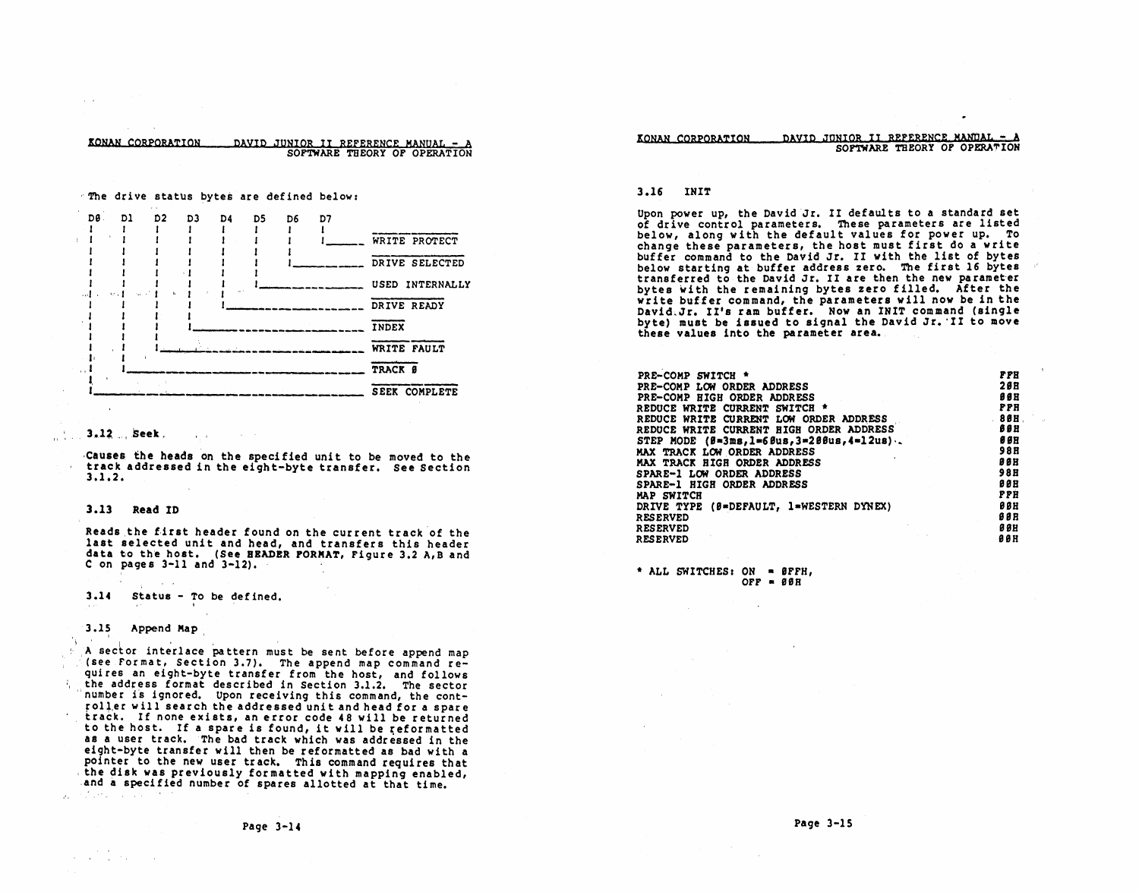KONAN CORPORATION DAVID JUNIOR II REFERENCE MANUAL - A

SOFTWARE THEORY OF OPERATION



#### $3.12...$  Seek.

Causes the heads on the specified unit to be moved to the track addressed in the eight-byte transfer. See Section  $3.1.2.$ 

#### 3.13 Read ID

Reads the first header found on the current track of the last selected unit and head, and transfers this header data to the host. (See BEADER PORMAT, Figure 3.2 A, B and C on pages  $3-11$  and  $3-12$ ).

 $3.14$ Status - To be defined.

 $\mathbf{z}$ 

#### $3.15$ Append Map

 $\mathcal{F}^{\text{max}}_{\text{max}}$  and  $\mathcal{F}^{\text{max}}_{\text{max}}$ 

 $\mathcal{A}_\lambda$ 

A sector interlace pattern must be sent before append map (see Format, Section 3.7). The append map command requires an eight-byte transfer from the host, and follows the address format described in Section 3.1.2. The sector number is ignored. Upon receiving this command, the controller will search the addressed unit and head for a spare track. If none exists, an error code 48 will be returned to the host. If a spare is found, it will be reformatted as a user track. The bad track which was addressed in the eight-byte transfer will then be reformatted as bad with a pointer to the new user track. This command requires that the disk was previously formatted with mapping enabled, and a specified number of spares allotted at that time. of the committee of the

#### DAVID JONIOR II REFERENCE MANDAL - A KONAN CORPORATION SOFTWARE THEORY OF OPERATION

#### 3.16 INIT

Upon power up, the David Jr. II defaults to a standard set of drive control parameters. These parameters are listed below, along with the default values for power up. To change these parameters, the host must first do a write buffer command to the David Jr. II with the list of bytes below starting at buffer address zero. The first 16 bytes transferred to the David Jr. II are then the new parameter bytes with the remaining bytes zero filled. After the write buffer command, the parameters will now be in the David. Jr. II's ram buffer. Now an INIT command (single byte) must be issued to signal the David Jr. II to move these values into the parameter area.

| PRE-COMP SWITCH *                              | <b>PPH</b> |
|------------------------------------------------|------------|
| PRE-COMP LOW ORDER ADDRESS                     | 28B        |
| PRE-COMP HIGH ORDER ADDRESS                    | <b>99H</b> |
| REDUCE WRITE CURRENT SWITCH *                  | <b>PPH</b> |
| REDUCE WRITE CURRENT LOW ORDER ADDRESS         | $-80H$     |
| REDUCE WRITE CURRENT HIGH ORDER ADDRESS        | BBH        |
| STEP MODE $(B=3ms, 1=6bus, 3=2BBus, 4=12us)$ . | <b>888</b> |
| MAX TRACK LOW ORDER ADDRESS                    | <b>98B</b> |
| MAX TRACK HIGH ORDER ADDRESS                   | <b>988</b> |
| SPARE-1 LOW ORDER ADDRESS                      | 98 B       |
| SPARE-1 HIGH ORDER ADDRESS                     | 0 O B      |
| MAP SWITCH                                     | PPH        |
| DRIVE TYPE (0=DEFAULT, 1=WESTERN DYNEX)        | <b>888</b> |
| <b>RESERVED</b>                                | <b>988</b> |
| <b>RESERVED</b>                                | <b>00H</b> |
| <b>RESERVED</b>                                | <b>98H</b> |

\* ALL SWITCHES: ON = ØFFH, OFF =  $86R$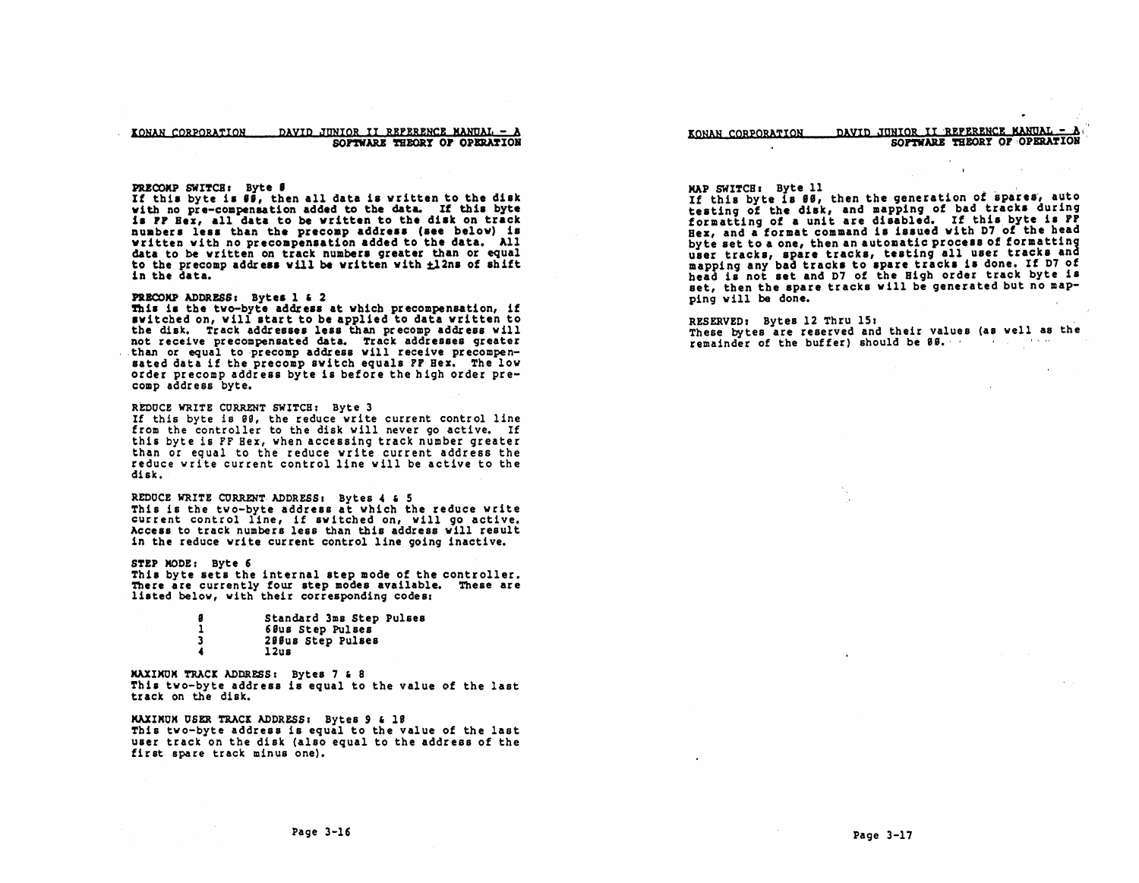#### KONAN CORPORATION DAVID JUNIOR II REPERENCE MANUAL. -  $\lambda$ SOFTWARE THEORY OF OPERATION

**PRECOMP SWITCH:** Byte  $\theta$ <br>If this byte is  $\theta$ , then all data is written to the disk<br>with no pre-compensation added to the data. If this byte is FF Her, all data to be written to the disk on track numbers less than the precomp address (see below) is written with no precompensation added to the data. All data to be written on track numbers greater than or equal to the precomp address will be written with  $\pm 12$ ns of shift in the data.

### PRECOMP ADDRESS: Bytes 1 & 2

This is the two-byte address at which precompensation, if switched on, will start to be applied to data written to the disk. Track addresses less than precomp address will not receive precompensated data. Track addresses greater . than or equal to precomp address will receive precompen-<br>sated data if the precomp switch equals PP Hez. The low order precomp address byte is before the high order precomp address byte.

#### REDOCE WRITE CORRENT SWITCH: Byte 3

If this byte is 99, the reduce write current control line from the controller to the disk will never go active. If this byte is FF Hex, when accessing track number greater than or equal to the reduce write current address the reduce write current control line will be active to the disk.

### REDUCE WRITE CURRENT ADDRESS: Bytes 4 & 5

This is the two-byte address at which the reduce write current control line, if switched on, will go active. Access to track numbers less than this address will result in the reduce write current control line going inactive.

#### STEP MODE: Byte 6

This byte sets the internal step mode of the controller. There are currently four step modes available. These are listed below, with their corresponding codes:

| 8  | Standard 3ms Step Pulses |  |
|----|--------------------------|--|
|    | 60us Step Pulses         |  |
| -3 | 200us Step Pulses        |  |
|    | 12us                     |  |

MAXIMUM TRACK ADDRESS: Bytes 7 & 8 This two-byte address is equal to the value of the last track on the disk.

MAXIMUM USER TRACK ADDRESS: Bytes 9 & 18 This two-byte address is equal to the value of the last user track on the disk (also equal to the address of the first spare track minus one).

#### KONAN CORPORATION DAVID JUNIOR II REFERENCE MANUAL -SOFTWARE THEORY OF OPERATION

#### MAP SWITCH: Byte 11

If this byte is 88, then the generation of spares, auto testing of the disk, and mapping of bad tracks during formatting of a unit are disabled. If this byte is  $P_{\cdot}^{p}$ Hex, and a format command is issued with D7 of the head<br>byte set to a one, then an automatic process of formatting user tracks, spare tracks, testing all user tracks and mapping any bad tracks to spare tracks is done. If D7 of head is not set and D7 of the High order track byte is set, then the spare tracks will be generated but no mapping will be done.

RESERVED: Bytes 12 Thru 15;<br>These bytes are reserved and their values (as well as the

remainder of the buffer) should be 88.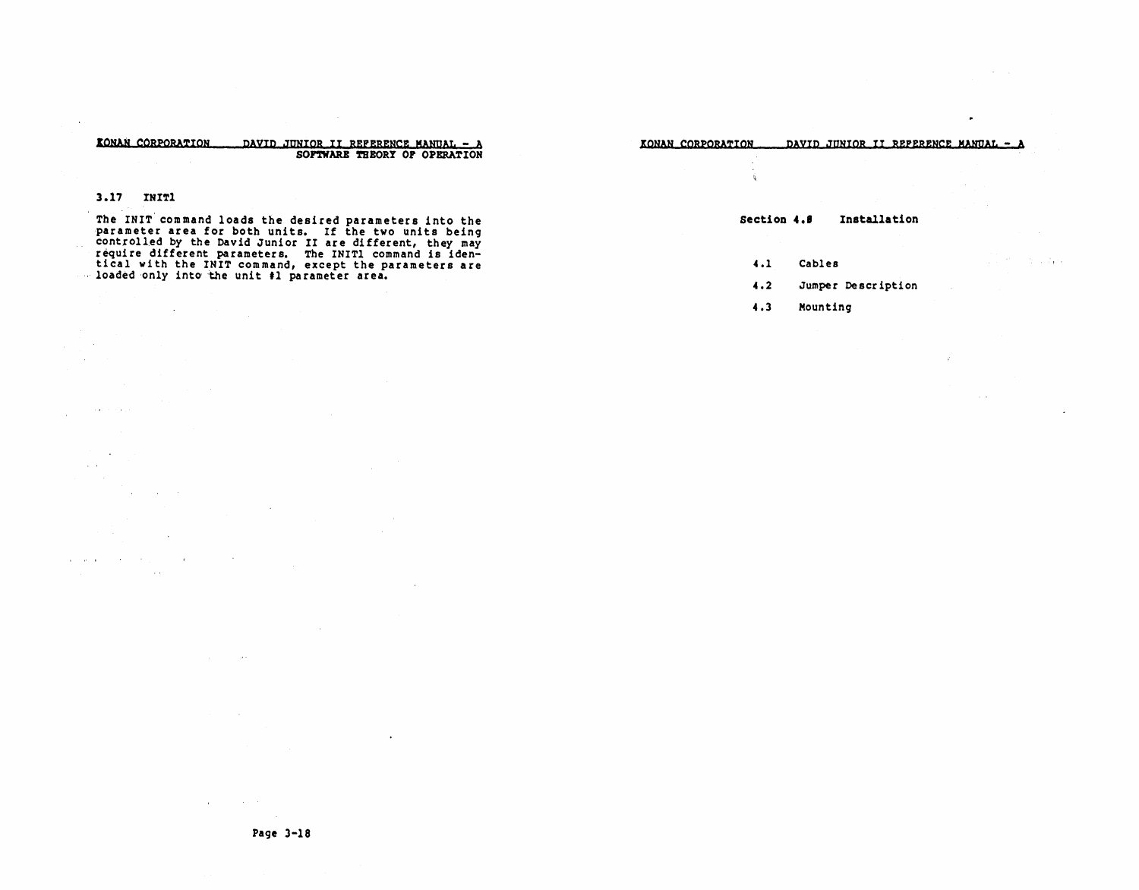#### KONAN CORPORATION DAVID JUNIOR II REFERENCE MANUAL - A SOFTWARE THEORY OF OPERATION

### $3.17$  TNIT1

 $\sim$ 

state of the control

 $\sim$ 

**Contractor**  $\sim$ 

 $\sim 10$ 

 $\sim 10^{-1}$ 

 $\mathcal{A}_{\mathcal{A}}$  , and  $\mathcal{A}_{\mathcal{A}}$  , and  $\mathcal{A}_{\mathcal{A}}$ 

 $\mathcal{L}$ 

 $\sim$   $\sim$ 

 $\mathbf{q}^{\prime}$  , and  $\mathbf{q}^{\prime}$  , and  $\mathbf{q}^{\prime}$  , and  $\mathbf{q}^{\prime}$ 

The INIT command loads the desired parameters into the parameter area for both units. If the two units being parameter area ior both units. If the two units being<br>controlled by the David Junior II are different, they may<br>require different parameters. The INITI command is iden-<br>tical with the INIT command, except the parameters ar - loaded only into the unit #1 parameter area.

KONAN CORPORATION DAVID JUNIOR II REFERENCE MANUAL - A

#### Section 4.8 Installation

 $4.1$ Cables

ંદ

 $4.2$ Jumper Description and the second property

 $4.3$ Mounting

 $\ddot{\phantom{a}}$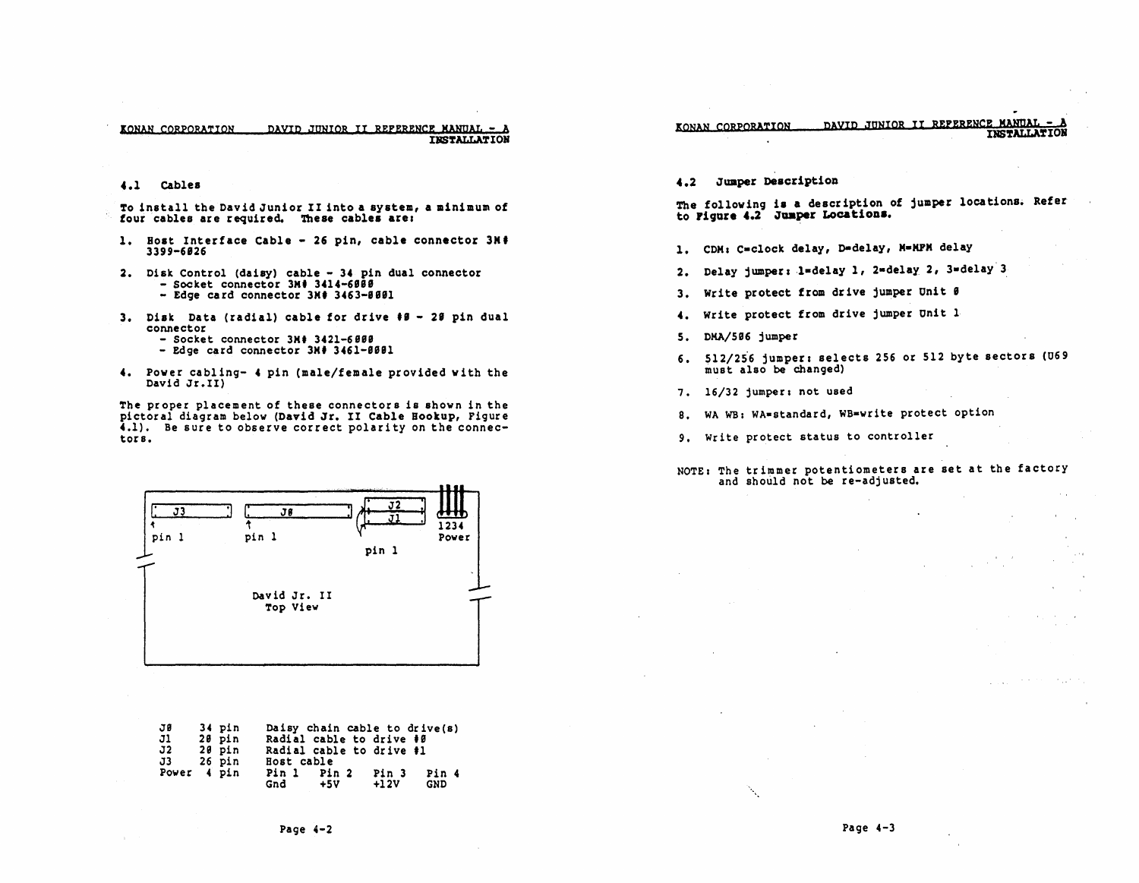To install the David Junior II into a system, a minimum of four cables are required. These cables are:

- 1. Bost Interface Cable 26 pin, cable connector 3M' 3399-6826
- 2. Disk Control (daisy) cable 34 pin dual connector<br>- Socket connector 3M# 3414-6888<br>- Edge card connector 3M# 3463-8881
	-
- 3. Disk Data (radial) cable for drive  $\#B 2\#$  pin dual connector
	- $-$  Socket connector  $3M$  3421-6888<br>- Edge card connector  $3M$  3461-8881
	-
- 4. Power cabling- 4 pin (male/female provided with the David Jr. II)

The proper placement of these connectors is shown in the pictoral diagram below (David Jr. II Cable Bookup, Figure 4.1). Be sure to observe correct polarity on the connec- tors.



| JØ          | 34 pin | Daisy chain cable to drive(s)    |
|-------------|--------|----------------------------------|
| J1          | 20 pin | Radial cable to drive #0         |
| J2.         | 20 pin | Radial cable to drive #1         |
| J3 -        | 26 pin | Bost cable                       |
| Power 4 pin |        | Pin 1<br>Pin 2<br>Pin 3<br>Pin 4 |
|             |        | Gnd<br>$+12V$<br>$+5V$<br>GND    |

4.2 Jumper Description

The following is a description of jumper locations. Refer to Figure 4.2 Junper Locations.

**IONAN CORPORATION DAVID JUNIOR II REFERENCE MANUAL - A** 

- 1. CDM: C=clock delay, D=delay, M=MPM delay
- 2. Delay jumper: 1=delay 1, 2=delay 2, 3=delay 3
- 3. Write protect from drive jumper Unit  $\theta$
- 4. Write protect from drive jumper Unit 1
- S. DKA/5S6 jumper
- 6. 512/256 jumper: selects 256 or 512 byte sectors (U69 must also be changed)
- 7. 16/32 jumper: not used
- 8. WA WB: WA-standard, WB-write protect option
- 9. write protect status to controller

# NOTE: The trimmer potentiometers are set at the factory<br>and should not be re-adjusted.

 $\mathcal{L}_{\text{max}}$  and  $\mathcal{L}_{\text{max}}$  and  $\mathcal{L}_{\text{max}}$ 

فالعلي فال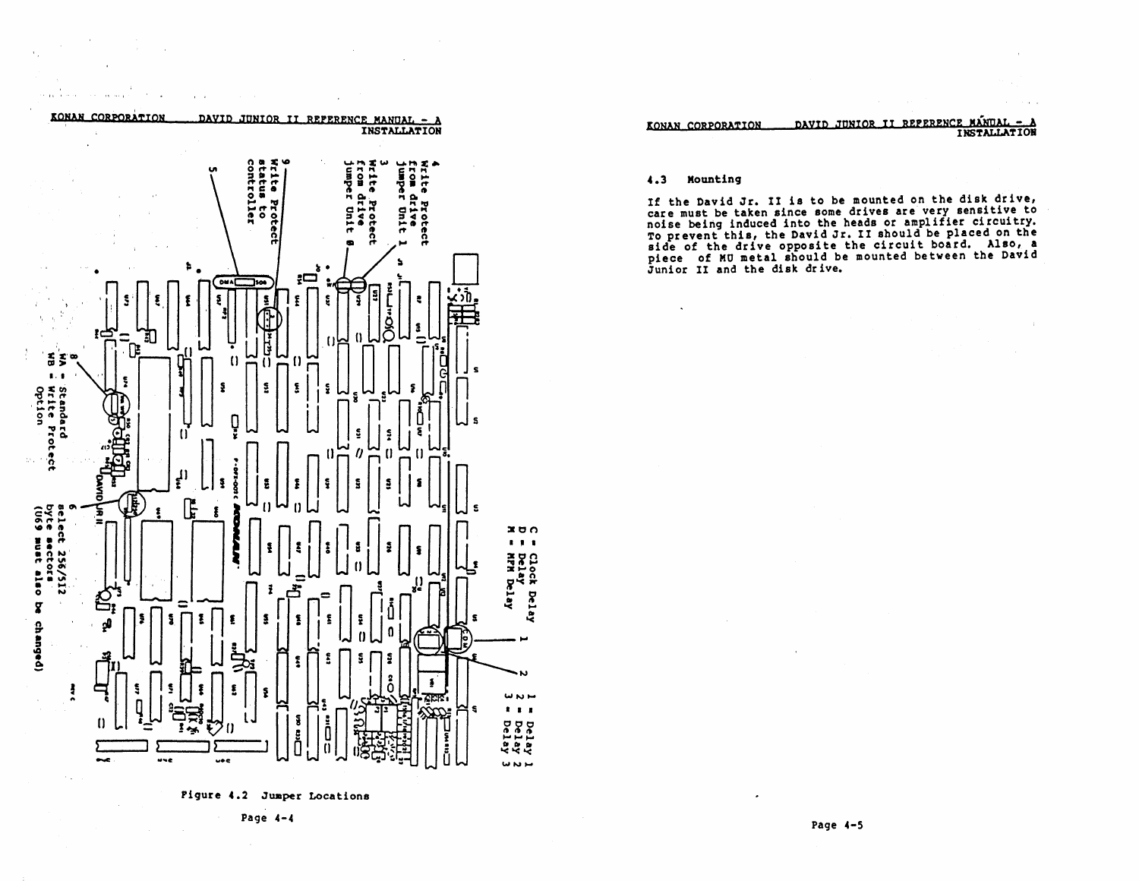

 $\mathbf{r} \in \mathbb{R}^{n \times d}$ 

and the co-

Pigure 4.2 Jumper Locations

Page  $4-4$ 

DAVID JUNIOR II REFERENCE MANUAL -KONAN CORPORATION **INSTALLATION** 

#### $4.3$ Mounting

If the David Jr. II is to be mounted on the disk drive,<br>care must be taken since some drives are very sensitive to<br>noise being induced into the heads or amplifier circuitry.<br>To prevent this, the David Jr. II should be plac side of the drive opposite the circuit board. Also, a piece of MU metal should be mounted between the David Junior II and the disk drive.

Page 4-5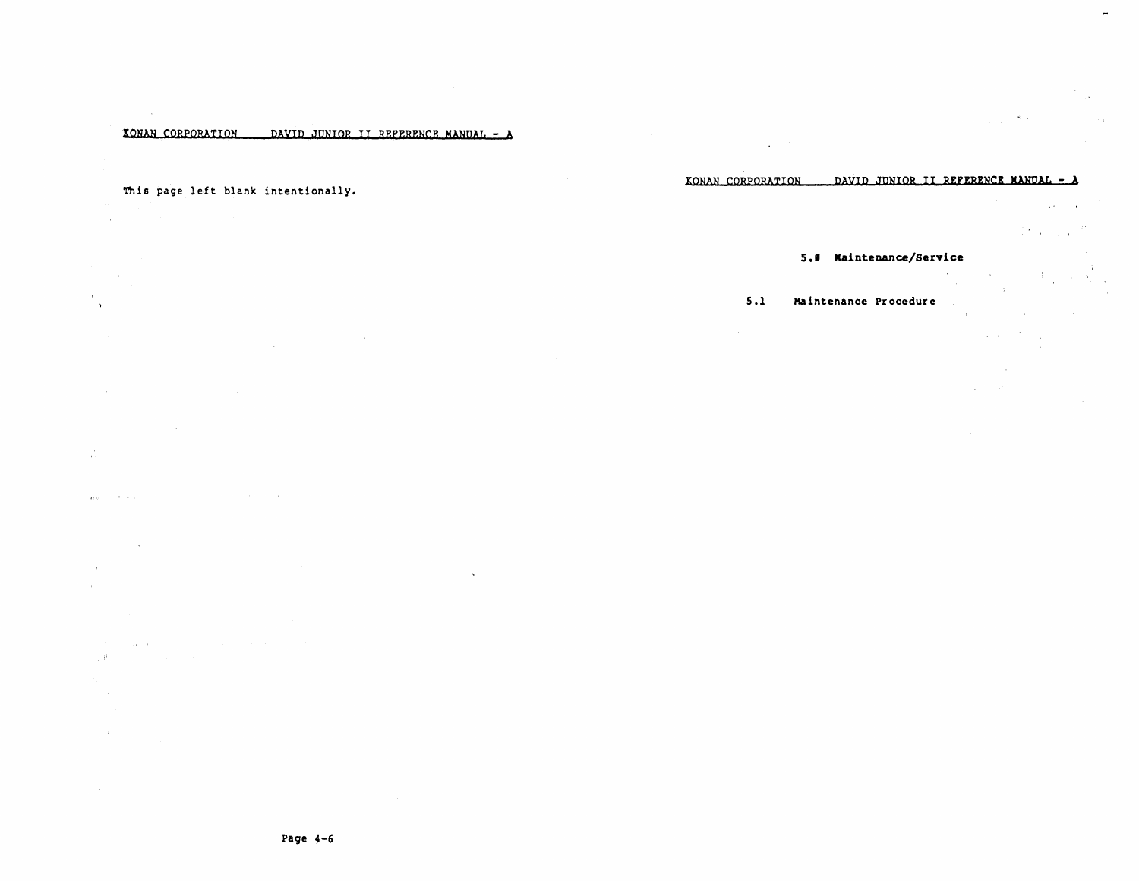### KONAN CORPORATION DAVID JUNIOR II REPERENCE MANUAL - A

### This page left blank intentionally.

 $\sim 10^{11}$  km s  $^{-1}$  $\mathcal{A}$ 

 $\lambda$  $\sim 10^7$ 

 $\sim 10^{-1}$  $\sim 10^7$ 

 $\frac{1}{4}$  . approaches the second control of the control of the control of the control of

 $\sim$   $\sim$  $\mathcal{A}$  $\bar{r}$ 

 $\sim 10^{-11}$ 

 $\ddot{\phantom{a}}$ 

the company of the company of the company of the company of the  $\sim 10^{11}$  m  $^{-1}$  .

 $\sim$ 

KONAN CORPORATION DAVID JUNIOR II REFERENCE MANUAL - A  $\blacksquare$ 

 $\gamma_{\rm c} = \gamma_{\rm c} = 8.11$ 

 $\alpha\in\mathbb{R}^d$  .

 $\mathbb{E}[\mathcal{F}_{\mathcal{A}}]$  ,  $\mathcal{F}_{\mathcal{A}}$  ,  $\mathcal{F}_{\mathcal{A}}$ 

### 5.0 Naintenance/Service

#### $5.1$ Maintenance Procedure

 $\sim$ 

 $\mathbf{r}$  $\Delta \sim 10^{-11}$ 

 $\sim 400$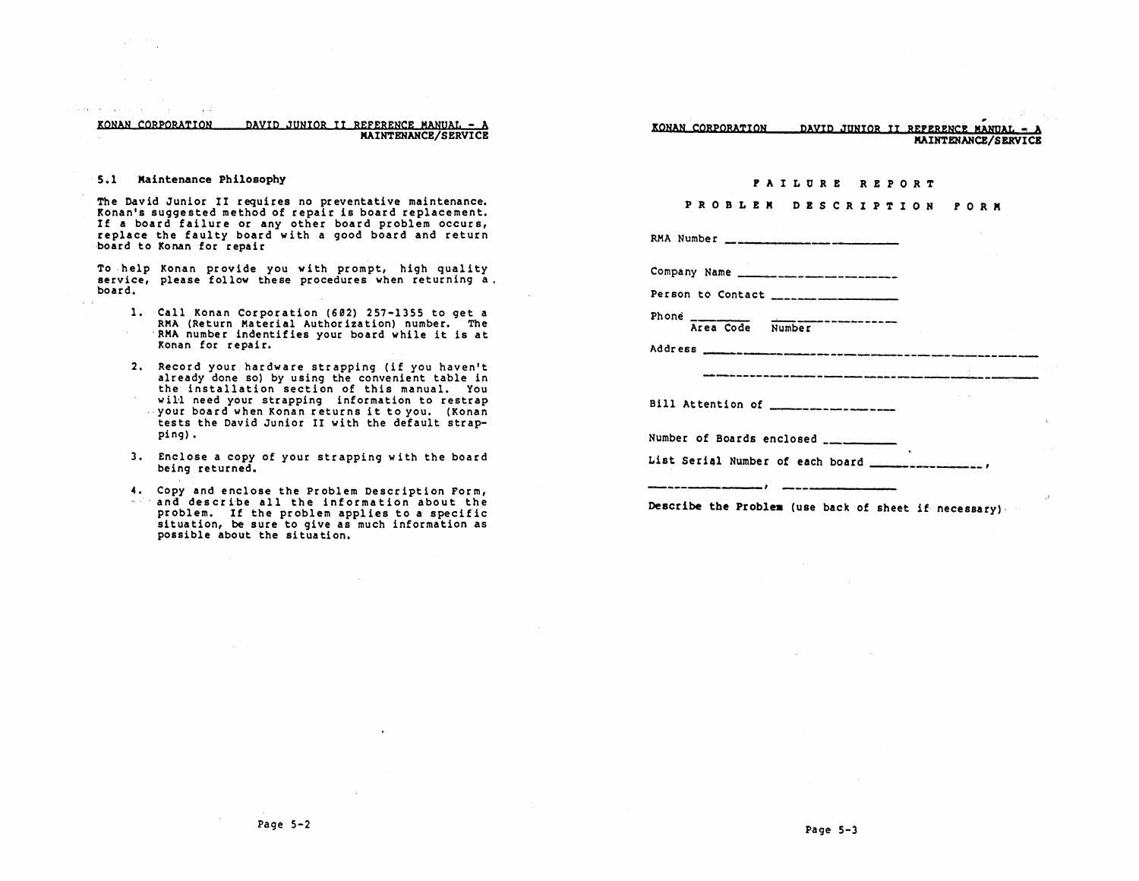KONAN CORPORATION DAVID JUNIOR II REFERENCE MANUAL - A MAINTENANCE/SERVICE

### 5.1 Maintenance Philosophy

state the control of the control of the

The David Junior II requires no preventative maintenance. Konan's suggested method of repair is board replacement.<br>If a board failure or any other board problem occurs, replace the faulty board with a good board and return board to Konan for repair

To help Konan provide you with prompt, high quality service, please follow these procedures when returning a. board.

- 1. Call Konan Corporation (692) 257-1355 to get a RMA (Return Material Author ization) number. The 'RMA number indentifies your board while it is at Konan for repair.
- 2. Record your hardware strappin9 (if you haven't already done so) by using the convenient table in the installation section of this manual. You will need your strapping information to restrap ,your board when Konan returns it to you. (Konan tests the David Junior II with the default strappin9) •
- 3. Enclose a copy of your strappin9 with the board bein9 returned.
- 4. Copy and enclose the Problem Description Form, and describe all the information about the problem. If the problem applies to a specific situation, be sure to give as much information as possible about the situation.

, KONAN CORPORATION DAYID JUNIOR II REFeReNCe. MANQAL - <sup>A</sup> MAINTENANCE/SERVICB

#### r A I LOR E REPORT

## PRO B L E M D E S C R I P T ION FOR M

RMA Number

Company Name

Person to Contact \_\_\_\_\_\_\_\_\_

Phone Area Code **Number** 

Address -----------------------------

---------------------------,----

Bill Attention of \_\_\_\_\_\_\_\_\_ \_

Number of Boards enclosed \_

---------,

List Serial Number of each board -------------------

Describe the Problem (use back of sheet if necessary),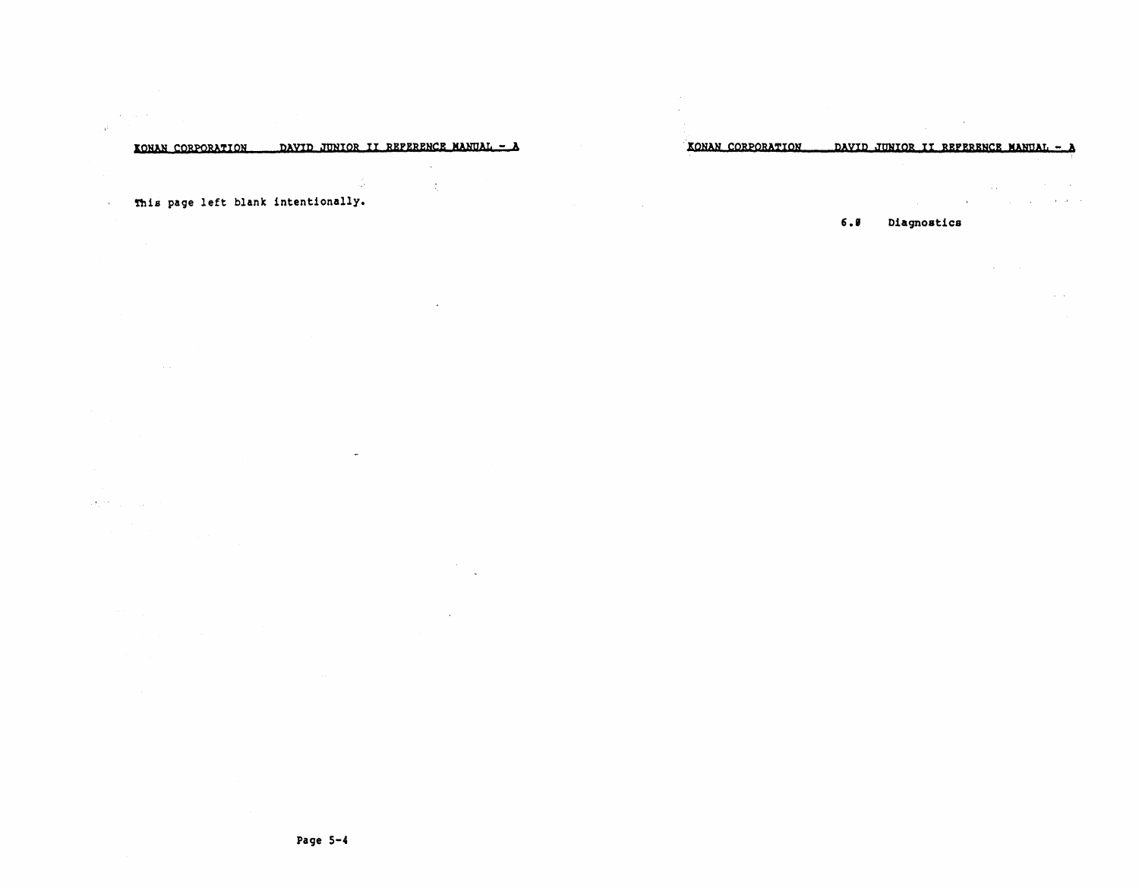#### DAVID JUNIOR II REPERENCE MANUAL - A KONAN CORPORATION

 $\mathcal{L}_\mathrm{c}$ 

 $\sim 10$ 

## This page left blank intentionally.

 $\sim$ 

 $\overline{a}$ 

### $\mathcal{A}_{\alpha}^{(1)}(t)$  ,  $\mathcal{A}_{\alpha}^{(1)}(t)$  ,  $\mathcal{A}_{\alpha}^{(2)}(t)$

 $\sim 40^{\circ}$  and  $\sim 10^{\circ}$ 

 $\alpha$ 

 $\sim$ 

 $\sim$ 

#### KONAN CORPORATION DAVID JUNIOR II REFERENCE MANUAL - A

the company of the state of the state

 $\mathcal{L}_{\text{max}}$  and  $\mathcal{L}_{\text{max}}$  and  $\mathcal{L}_{\text{max}}$  and  $\mathcal{L}_{\text{max}}$ 

 $\sim$ 

 $\alpha$  and  $\alpha$ 

#### $6.8$ Diagnostics

**Carl Corporation**  $\omega = \omega$ 

 $\sim$  $\mathbf{r}$ 

 $\sim 100$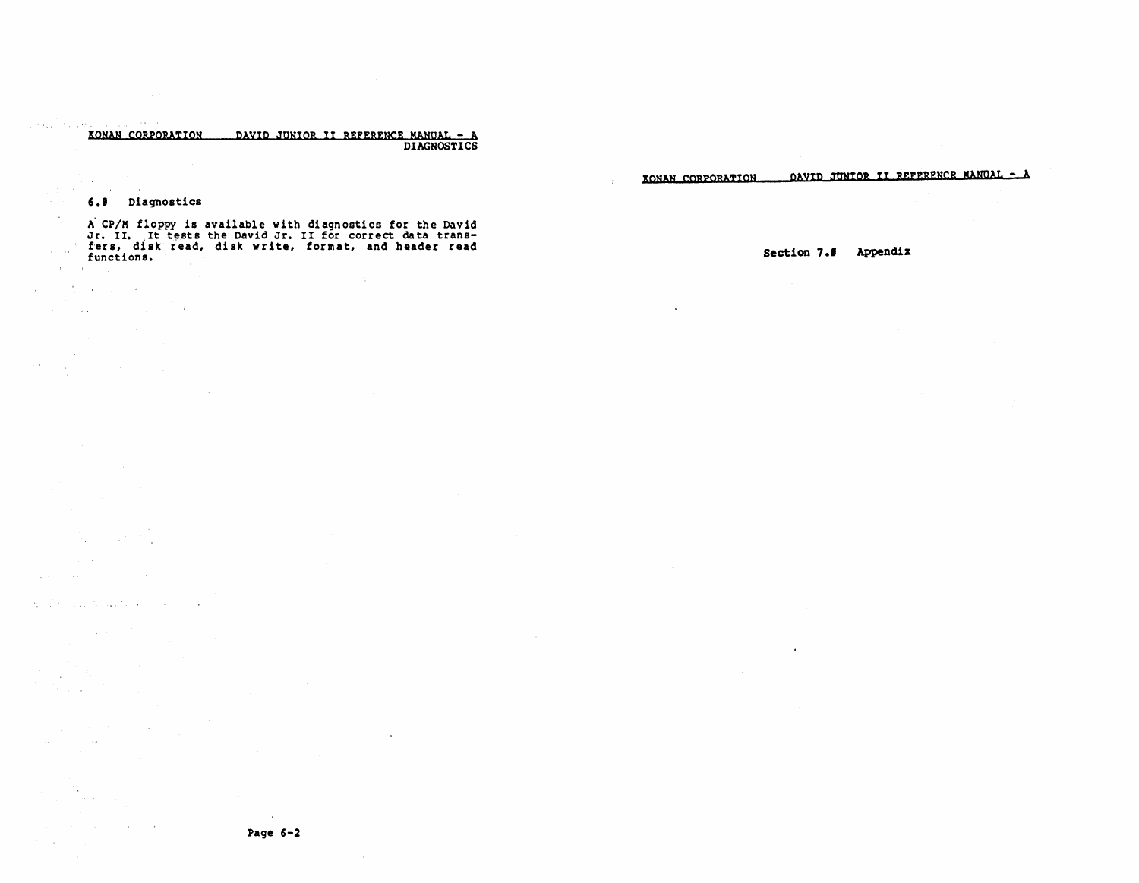# EONAN CORPORATION DAVID JUNIOR II REFERENCE MANQAL - A DIAGNOSTICS

DAVID JUNIOR II REPERENCE MANUAL - A KONAN CORPORATION

#### 6.9 Diagnostics

 $\sim 10^{-1}$ 

 $\mathcal{O}(\mathcal{O}(1))$  . The contract of the contract of the  $\mathcal{O}(\mathcal{O}(1))$  $\mathcal{L}^{\mathcal{L}}$  and  $\mathcal{L}^{\mathcal{L}}$  are the set of the set of the set of the  $\mathcal{L}^{\mathcal{L}}$ 

 $\mathcal{L}_{\text{max}}$  and  $\mathcal{L}_{\text{max}}$ 

We also a supply that the contract of the state

in an  $\langle \phi_{\rm{M}} \rangle = \langle \phi_{\rm{M}} \rangle = \langle \phi_{\rm{M}} \rangle = 0.5$ 

> $\sim 10^{-1}$  $\sim 100$

state of the control of

 $\mathcal{L}^{\text{max}}_{\text{max}}$  , where  $\mathcal{L}^{\text{max}}_{\text{max}}$ 

**Sales Street** 

 $\sim$ **Service** 

> $\sim 10^6$  $\sim 10^{-1}$  $\Delta\Delta\sim 1$  $\bar{r}$

> > $\langle \psi \rangle$

**Standard** 

 $\label{eq:2} \mathcal{L}_{\text{max}} = \frac{1}{2} \sum_{i=1}^{N} \frac{1}{2} \sum_{i=1}^{N} \frac{1}{2} \sum_{i=1}^{N} \frac{1}{2} \sum_{i=1}^{N} \frac{1}{2} \sum_{i=1}^{N} \frac{1}{2} \sum_{i=1}^{N} \frac{1}{2} \sum_{i=1}^{N} \frac{1}{2} \sum_{i=1}^{N} \frac{1}{2} \sum_{i=1}^{N} \frac{1}{2} \sum_{i=1}^{N} \frac{1}{2} \sum_{i=1}^{N} \frac{1}{2} \sum_{i=1}$ 

A' CP/M floppy is available with diagnostics for the David Jr. II. It tests the David Jr. II for correct data trans-f'ers, disk read, disk write, format, and header read functions.  $\sim$ 

 $\sim 100$ 

 $\ddot{\phantom{a}}$ 

Section 7.5 Appendix